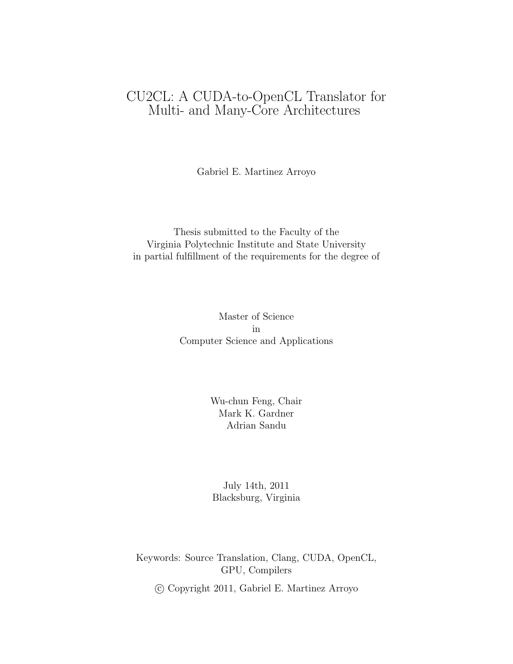### CU2CL: A CUDA-to-OpenCL Translator for Multi- and Many-Core Architectures

Gabriel E. Martinez Arroyo

Thesis submitted to the Faculty of the Virginia Polytechnic Institute and State University in partial fulfillment of the requirements for the degree of

> Master of Science in Computer Science and Applications

> > Wu-chun Feng, Chair Mark K. Gardner Adrian Sandu

July 14th, 2011 Blacksburg, Virginia

Keywords: Source Translation, Clang, CUDA, OpenCL, GPU, Compilers

c Copyright 2011, Gabriel E. Martinez Arroyo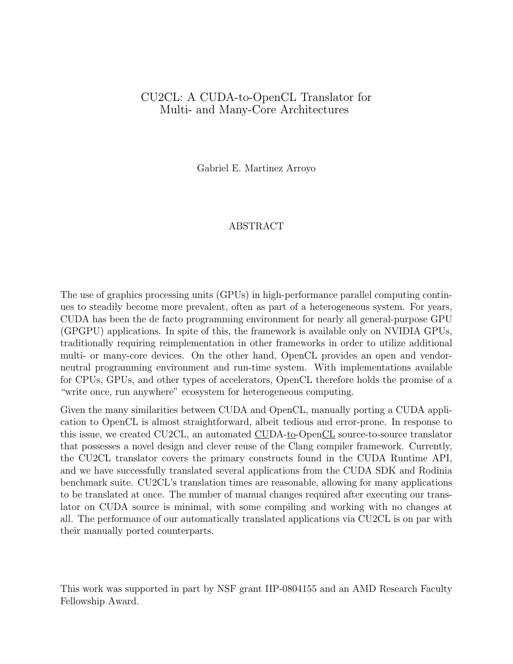#### CU2CL: A CUDA-to-OpenCL Translator for Multi- and Many-Core Architectures

Gabriel E. Martinez Arroyo

#### ABSTRACT

The use of graphics processing units (GPUs) in high-performance parallel computing continues to steadily become more prevalent, often as part of a heterogeneous system. For years, CUDA has been the de facto programming environment for nearly all general-purpose GPU (GPGPU) applications. In spite of this, the framework is available only on NVIDIA GPUs, traditionally requiring reimplementation in other frameworks in order to utilize additional multi- or many-core devices. On the other hand, OpenCL provides an open and vendorneutral programming environment and run-time system. With implementations available for CPUs, GPUs, and other types of accelerators, OpenCL therefore holds the promise of a "write once, run anywhere" ecosystem for heterogeneous computing.

Given the many similarities between CUDA and OpenCL, manually porting a CUDA application to OpenCL is almost straightforward, albeit tedious and error-prone. In response to this issue, we created CU2CL, an automated CUDA-to-OpenCL source-to-source translator that possesses a novel design and clever reuse of the Clang compiler framework. Currently, the CU2CL translator covers the primary constructs found in the CUDA Runtime API, and we have successfully translated several applications from the CUDA SDK and Rodinia benchmark suite. CU2CL's translation times are reasonable, allowing for many applications to be translated at once. The number of manual changes required after executing our translator on CUDA source is minimal, with some compiling and working with no changes at all. The performance of our automatically translated applications via CU2CL is on par with their manually ported counterparts.

This work was supported in part by NSF grant IIP-0804155 and an AMD Research Faculty Fellowship Award.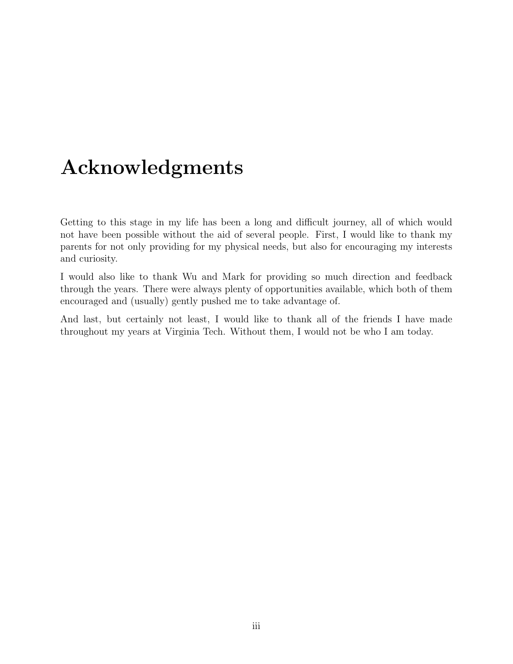# Acknowledgments

Getting to this stage in my life has been a long and difficult journey, all of which would not have been possible without the aid of several people. First, I would like to thank my parents for not only providing for my physical needs, but also for encouraging my interests and curiosity.

I would also like to thank Wu and Mark for providing so much direction and feedback through the years. There were always plenty of opportunities available, which both of them encouraged and (usually) gently pushed me to take advantage of.

And last, but certainly not least, I would like to thank all of the friends I have made throughout my years at Virginia Tech. Without them, I would not be who I am today.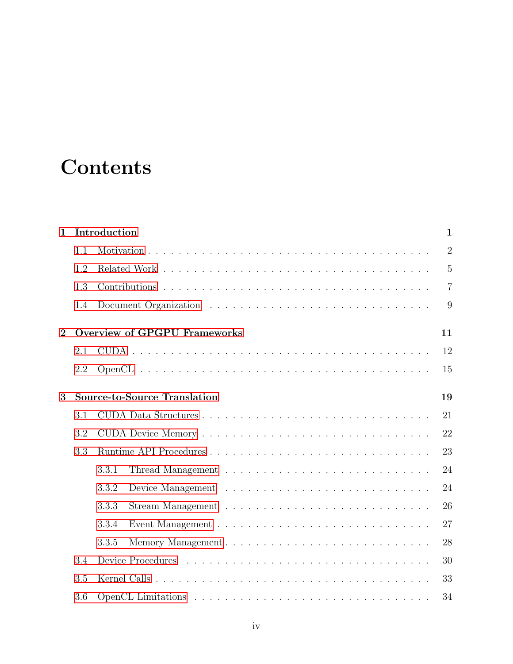# **Contents**

| $\mathbf{1}$   |     | Introduction                              | $\mathbf{1}$   |
|----------------|-----|-------------------------------------------|----------------|
|                | 1.1 |                                           | $\overline{2}$ |
|                | 1.2 |                                           | $\overline{5}$ |
|                | 1.3 |                                           | $\overline{7}$ |
|                | 1.4 |                                           | 9              |
| $\overline{2}$ |     | <b>Overview of GPGPU Frameworks</b><br>11 |                |
|                | 2.1 | 12                                        |                |
|                | 2.2 | 15                                        |                |
| 3              |     | <b>Source-to-Source Translation</b><br>19 |                |
|                | 3.1 | 21                                        |                |
|                | 3.2 | 22                                        |                |
|                | 3.3 | 23                                        |                |
|                |     | 3.3.1<br>24                               |                |
|                |     | 24<br>3.3.2                               |                |
|                |     | 3.3.3<br>26                               |                |
|                |     | 27<br>3.3.4                               |                |
|                |     | 3.3.5<br>28                               |                |
|                | 3.4 | 30                                        |                |
|                | 3.5 | 33                                        |                |
|                | 3.6 | 34                                        |                |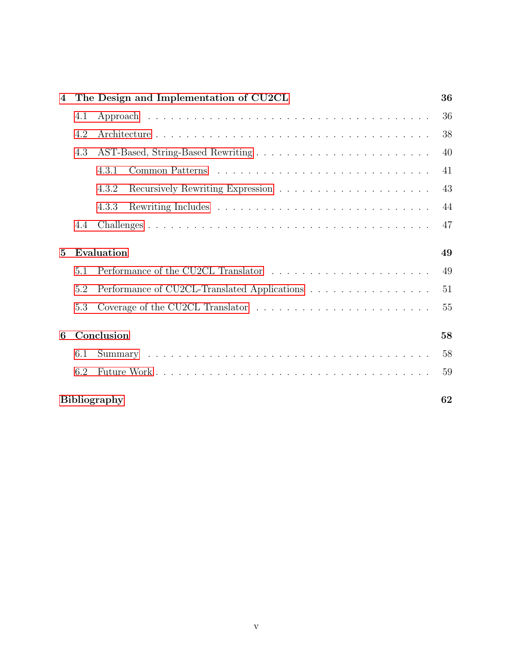| $\bf{4}$        |                  | The Design and Implementation of CU2CL       | 36 |
|-----------------|------------------|----------------------------------------------|----|
|                 | 4.1              |                                              | 36 |
|                 | 4.2              |                                              | 38 |
|                 | 4.3              |                                              | 40 |
|                 |                  | 4.3.1                                        | 41 |
|                 |                  | 4.3.2                                        | 43 |
|                 |                  | 4.3.3                                        | 44 |
|                 | 4.4              |                                              | 47 |
| $5\overline{ }$ |                  | Evaluation                                   | 49 |
|                 | 5.1              |                                              | 49 |
|                 | 5.2              | Performance of CU2CL-Translated Applications | 51 |
|                 | 5.3              |                                              | 55 |
| 6               | Conclusion<br>58 |                                              |    |
|                 | 6.1              |                                              | 58 |
|                 | 6.2              |                                              | 59 |
|                 |                  | <b>Bibliography</b>                          | 62 |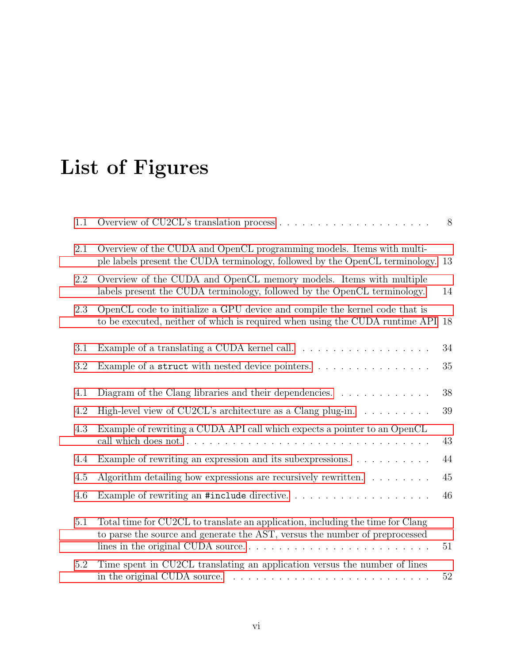# List of Figures

| 1.1     |                                                                                                                                                                            | 8  |
|---------|----------------------------------------------------------------------------------------------------------------------------------------------------------------------------|----|
| 2.1     | Overview of the CUDA and OpenCL programming models. Items with multi-<br>ple labels present the CUDA terminology, followed by the OpenCL terminology.                      | 13 |
| 2.2     | Overview of the CUDA and OpenCL memory models. Items with multiple<br>labels present the CUDA terminology, followed by the OpenCL terminology.                             | 14 |
| 2.3     | OpenCL code to initialize a GPU device and compile the kernel code that is<br>to be executed, neither of which is required when using the CUDA runtime API                 | 18 |
| 3.1     |                                                                                                                                                                            | 34 |
| 3.2     | Example of a struct with nested device pointers.                                                                                                                           | 35 |
| 4.1     | Diagram of the Clang libraries and their dependencies. $\dots \dots \dots \dots$                                                                                           | 38 |
| 4.2     | High-level view of CU2CL's architecture as a Clang plug-in. $\dots \dots \dots$                                                                                            | 39 |
| 4.3     | Example of rewriting a CUDA API call which expects a pointer to an OpenCL<br>call which does not                                                                           | 43 |
| 4.4     | Example of rewriting an expression and its subexpressions.                                                                                                                 | 44 |
| 4.5     | Algorithm detailing how expressions are recursively rewritten. $\dots \dots$                                                                                               | 45 |
| 4.6     | Example of rewriting an #include directive                                                                                                                                 | 46 |
| 5.1     | Total time for CU2CL to translate an application, including the time for Clang<br>to parse the source and generate the AST, versus the number of preprocessed              | 51 |
| $5.2\,$ | Time spent in CU2CL translating an application versus the number of lines<br>in the original CUDA source. $\ldots \ldots \ldots \ldots \ldots \ldots \ldots \ldots \ldots$ | 52 |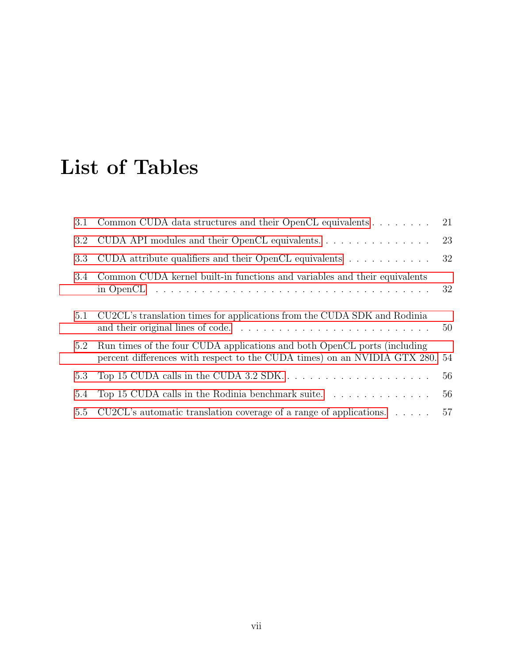# List of Tables

| 3.1     | Common CUDA data structures and their OpenCL equivalents                                                                                                 | 21 |
|---------|----------------------------------------------------------------------------------------------------------------------------------------------------------|----|
| $3.2\,$ | CUDA API modules and their OpenCL equivalents.                                                                                                           | 23 |
| 3.3     | CUDA attribute qualifiers and their OpenCL equivalents $\dots \dots \dots$                                                                               | 32 |
| 3.4     | Common CUDA kernel built-in functions and variables and their equivalents                                                                                | 32 |
| 5.1     | CU2CL's translation times for applications from the CUDA SDK and Rodinia                                                                                 | 50 |
| 5.2     | Run times of the four CUDA applications and both OpenCL ports (including<br>percent differences with respect to the CUDA times) on an NVIDIA GTX 280. 54 |    |
| 5.3     |                                                                                                                                                          | 56 |
| 5.4     | Top 15 CUDA calls in the Rodinia benchmark suite. $\ldots \ldots \ldots \ldots$                                                                          | 56 |
| 5.5     | CU2CL's automatic translation coverage of a range of applications. $\dots$ .                                                                             | 57 |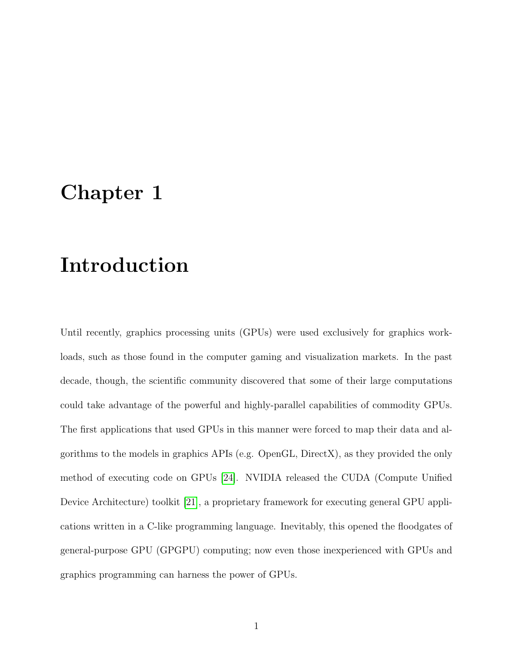## <span id="page-7-0"></span>Chapter 1

# Introduction

Until recently, graphics processing units (GPUs) were used exclusively for graphics workloads, such as those found in the computer gaming and visualization markets. In the past decade, though, the scientific community discovered that some of their large computations could take advantage of the powerful and highly-parallel capabilities of commodity GPUs. The first applications that used GPUs in this manner were forced to map their data and algorithms to the models in graphics APIs (e.g. OpenGL, DirectX), as they provided the only method of executing code on GPUs [\[24\]](#page-71-0). NVIDIA released the CUDA (Compute Unified Device Architecture) toolkit [\[21\]](#page-71-1), a proprietary framework for executing general GPU applications written in a C-like programming language. Inevitably, this opened the floodgates of general-purpose GPU (GPGPU) computing; now even those inexperienced with GPUs and graphics programming can harness the power of GPUs.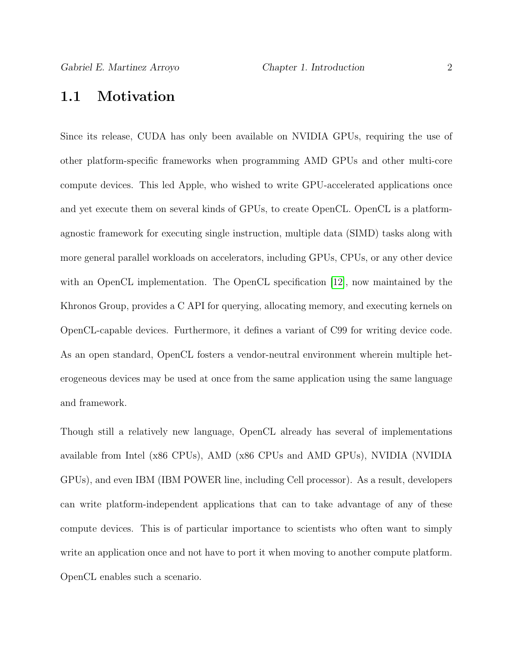### <span id="page-8-0"></span>1.1 Motivation

Since its release, CUDA has only been available on NVIDIA GPUs, requiring the use of other platform-specific frameworks when programming AMD GPUs and other multi-core compute devices. This led Apple, who wished to write GPU-accelerated applications once and yet execute them on several kinds of GPUs, to create OpenCL. OpenCL is a platformagnostic framework for executing single instruction, multiple data (SIMD) tasks along with more general parallel workloads on accelerators, including GPUs, CPUs, or any other device with an OpenCL implementation. The OpenCL specification [\[12\]](#page-69-0), now maintained by the Khronos Group, provides a C API for querying, allocating memory, and executing kernels on OpenCL-capable devices. Furthermore, it defines a variant of C99 for writing device code. As an open standard, OpenCL fosters a vendor-neutral environment wherein multiple heterogeneous devices may be used at once from the same application using the same language and framework.

Though still a relatively new language, OpenCL already has several of implementations available from Intel (x86 CPUs), AMD (x86 CPUs and AMD GPUs), NVIDIA (NVIDIA GPUs), and even IBM (IBM POWER line, including Cell processor). As a result, developers can write platform-independent applications that can to take advantage of any of these compute devices. This is of particular importance to scientists who often want to simply write an application once and not have to port it when moving to another compute platform. OpenCL enables such a scenario.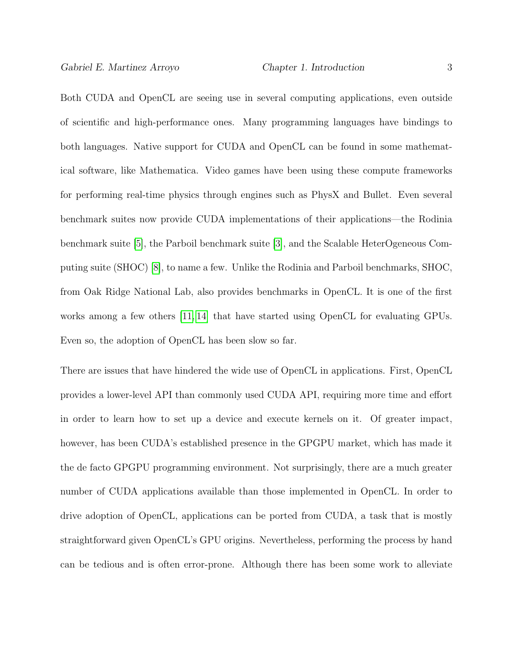Both CUDA and OpenCL are seeing use in several computing applications, even outside of scientific and high-performance ones. Many programming languages have bindings to both languages. Native support for CUDA and OpenCL can be found in some mathematical software, like Mathematica. Video games have been using these compute frameworks for performing real-time physics through engines such as PhysX and Bullet. Even several benchmark suites now provide CUDA implementations of their applications—the Rodinia benchmark suite [\[5\]](#page-68-1), the Parboil benchmark suite [\[3\]](#page-68-2), and the Scalable HeterOgeneous Computing suite (SHOC) [\[8\]](#page-69-1), to name a few. Unlike the Rodinia and Parboil benchmarks, SHOC, from Oak Ridge National Lab, also provides benchmarks in OpenCL. It is one of the first works among a few others [\[11,](#page-69-2) [14\]](#page-70-0) that have started using OpenCL for evaluating GPUs. Even so, the adoption of OpenCL has been slow so far.

There are issues that have hindered the wide use of OpenCL in applications. First, OpenCL provides a lower-level API than commonly used CUDA API, requiring more time and effort in order to learn how to set up a device and execute kernels on it. Of greater impact, however, has been CUDA's established presence in the GPGPU market, which has made it the de facto GPGPU programming environment. Not surprisingly, there are a much greater number of CUDA applications available than those implemented in OpenCL. In order to drive adoption of OpenCL, applications can be ported from CUDA, a task that is mostly straightforward given OpenCL's GPU origins. Nevertheless, performing the process by hand can be tedious and is often error-prone. Although there has been some work to alleviate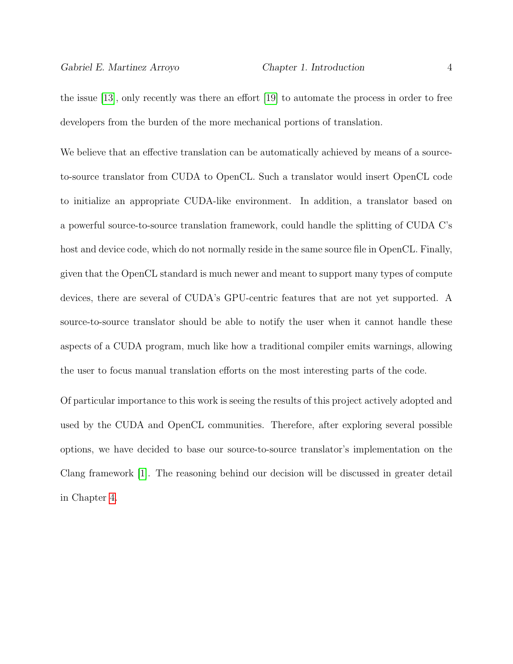the issue [\[13\]](#page-69-3), only recently was there an effort [\[19\]](#page-70-1) to automate the process in order to free developers from the burden of the more mechanical portions of translation.

We believe that an effective translation can be automatically achieved by means of a sourceto-source translator from CUDA to OpenCL. Such a translator would insert OpenCL code to initialize an appropriate CUDA-like environment. In addition, a translator based on a powerful source-to-source translation framework, could handle the splitting of CUDA C's host and device code, which do not normally reside in the same source file in OpenCL. Finally, given that the OpenCL standard is much newer and meant to support many types of compute devices, there are several of CUDA's GPU-centric features that are not yet supported. A source-to-source translator should be able to notify the user when it cannot handle these aspects of a CUDA program, much like how a traditional compiler emits warnings, allowing the user to focus manual translation efforts on the most interesting parts of the code.

Of particular importance to this work is seeing the results of this project actively adopted and used by the CUDA and OpenCL communities. Therefore, after exploring several possible options, we have decided to base our source-to-source translator's implementation on the Clang framework [\[1\]](#page-68-3). The reasoning behind our decision will be discussed in greater detail in Chapter [4.](#page-42-0)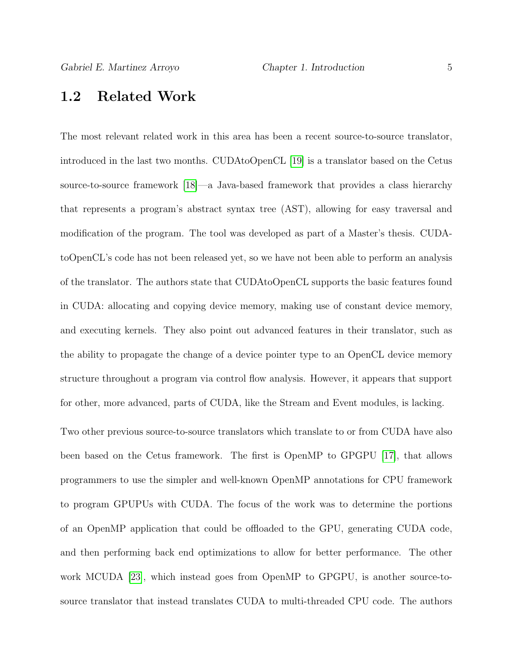### <span id="page-11-0"></span>1.2 Related Work

The most relevant related work in this area has been a recent source-to-source translator, introduced in the last two months. CUDAtoOpenCL [\[19\]](#page-70-1) is a translator based on the Cetus source-to-source framework [\[18\]](#page-70-2)—a Java-based framework that provides a class hierarchy that represents a program's abstract syntax tree (AST), allowing for easy traversal and modification of the program. The tool was developed as part of a Master's thesis. CUDAtoOpenCL's code has not been released yet, so we have not been able to perform an analysis of the translator. The authors state that CUDAtoOpenCL supports the basic features found in CUDA: allocating and copying device memory, making use of constant device memory, and executing kernels. They also point out advanced features in their translator, such as the ability to propagate the change of a device pointer type to an OpenCL device memory structure throughout a program via control flow analysis. However, it appears that support for other, more advanced, parts of CUDA, like the Stream and Event modules, is lacking.

Two other previous source-to-source translators which translate to or from CUDA have also been based on the Cetus framework. The first is OpenMP to GPGPU [\[17\]](#page-70-3), that allows programmers to use the simpler and well-known OpenMP annotations for CPU framework to program GPUPUs with CUDA. The focus of the work was to determine the portions of an OpenMP application that could be offloaded to the GPU, generating CUDA code, and then performing back end optimizations to allow for better performance. The other work MCUDA [\[23\]](#page-71-2), which instead goes from OpenMP to GPGPU, is another source-tosource translator that instead translates CUDA to multi-threaded CPU code. The authors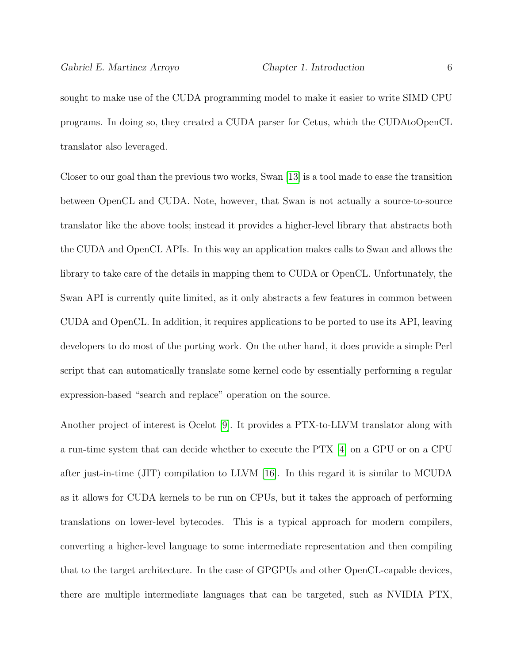sought to make use of the CUDA programming model to make it easier to write SIMD CPU programs. In doing so, they created a CUDA parser for Cetus, which the CUDAtoOpenCL translator also leveraged.

Closer to our goal than the previous two works, Swan [\[13\]](#page-69-3) is a tool made to ease the transition between OpenCL and CUDA. Note, however, that Swan is not actually a source-to-source translator like the above tools; instead it provides a higher-level library that abstracts both the CUDA and OpenCL APIs. In this way an application makes calls to Swan and allows the library to take care of the details in mapping them to CUDA or OpenCL. Unfortunately, the Swan API is currently quite limited, as it only abstracts a few features in common between CUDA and OpenCL. In addition, it requires applications to be ported to use its API, leaving developers to do most of the porting work. On the other hand, it does provide a simple Perl script that can automatically translate some kernel code by essentially performing a regular expression-based "search and replace" operation on the source.

Another project of interest is Ocelot [\[9\]](#page-69-4). It provides a PTX-to-LLVM translator along with a run-time system that can decide whether to execute the PTX [\[4\]](#page-68-4) on a GPU or on a CPU after just-in-time (JIT) compilation to LLVM [\[16\]](#page-70-4). In this regard it is similar to MCUDA as it allows for CUDA kernels to be run on CPUs, but it takes the approach of performing translations on lower-level bytecodes. This is a typical approach for modern compilers, converting a higher-level language to some intermediate representation and then compiling that to the target architecture. In the case of GPGPUs and other OpenCL-capable devices, there are multiple intermediate languages that can be targeted, such as NVIDIA PTX,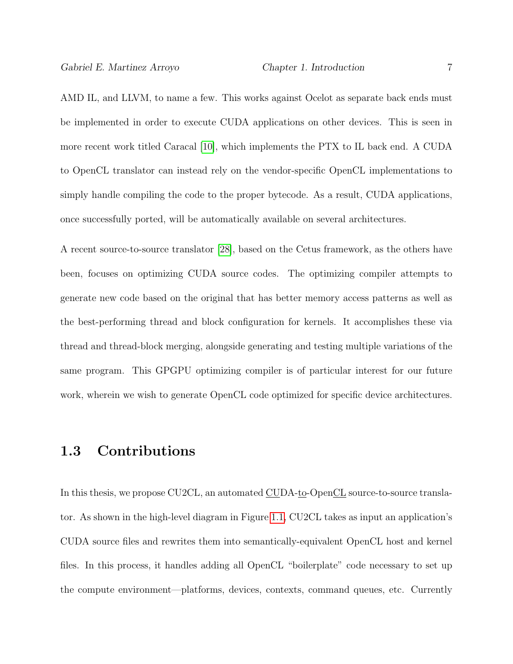AMD IL, and LLVM, to name a few. This works against Ocelot as separate back ends must be implemented in order to execute CUDA applications on other devices. This is seen in more recent work titled Caracal [\[10\]](#page-69-5), which implements the PTX to IL back end. A CUDA to OpenCL translator can instead rely on the vendor-specific OpenCL implementations to simply handle compiling the code to the proper bytecode. As a result, CUDA applications, once successfully ported, will be automatically available on several architectures.

A recent source-to-source translator [\[28\]](#page-72-0), based on the Cetus framework, as the others have been, focuses on optimizing CUDA source codes. The optimizing compiler attempts to generate new code based on the original that has better memory access patterns as well as the best-performing thread and block configuration for kernels. It accomplishes these via thread and thread-block merging, alongside generating and testing multiple variations of the same program. This GPGPU optimizing compiler is of particular interest for our future work, wherein we wish to generate OpenCL code optimized for specific device architectures.

### <span id="page-13-0"></span>1.3 Contributions

In this thesis, we propose CU2CL, an automated CUDA-to-OpenCL source-to-source translator. As shown in the high-level diagram in Figure [1.1,](#page-14-0) CU2CL takes as input an application's CUDA source files and rewrites them into semantically-equivalent OpenCL host and kernel files. In this process, it handles adding all OpenCL "boilerplate" code necessary to set up the compute environment—platforms, devices, contexts, command queues, etc. Currently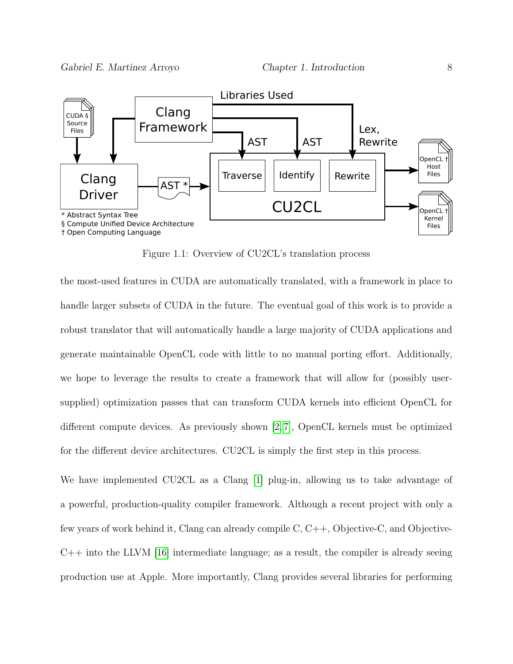

<span id="page-14-0"></span>Figure 1.1: Overview of CU2CL's translation process

the most-used features in CUDA are automatically translated, with a framework in place to handle larger subsets of CUDA in the future. The eventual goal of this work is to provide a robust translator that will automatically handle a large majority of CUDA applications and generate maintainable OpenCL code with little to no manual porting effort. Additionally, we hope to leverage the results to create a framework that will allow for (possibly usersupplied) optimization passes that can transform CUDA kernels into efficient OpenCL for different compute devices. As previously shown [\[2,](#page-68-5) [7\]](#page-69-6), OpenCL kernels must be optimized for the different device architectures. CU2CL is simply the first step in this process.

We have implemented CU2CL as a Clang [\[1\]](#page-68-3) plug-in, allowing us to take advantage of a powerful, production-quality compiler framework. Although a recent project with only a few years of work behind it, Clang can already compile C, C++, Objective-C, and Objective- $C++$  into the LLVM [\[16\]](#page-70-4) intermediate language; as a result, the compiler is already seeing production use at Apple. More importantly, Clang provides several libraries for performing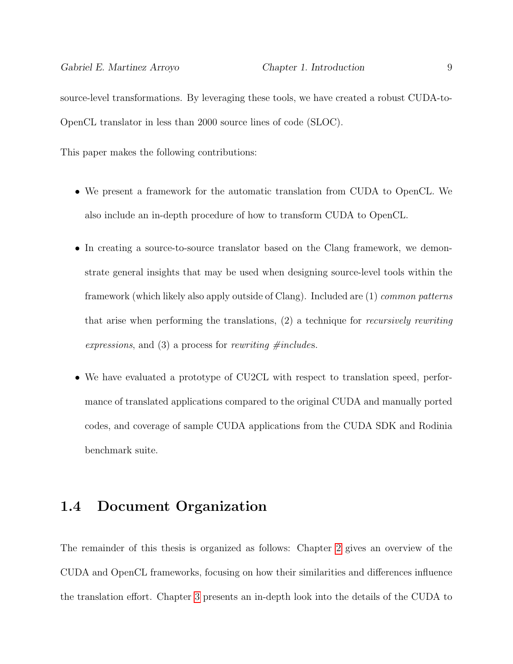source-level transformations. By leveraging these tools, we have created a robust CUDA-to-OpenCL translator in less than 2000 source lines of code (SLOC).

This paper makes the following contributions:

- We present a framework for the automatic translation from CUDA to OpenCL. We also include an in-depth procedure of how to transform CUDA to OpenCL.
- In creating a source-to-source translator based on the Clang framework, we demonstrate general insights that may be used when designing source-level tools within the framework (which likely also apply outside of Clang). Included are (1) common patterns that arise when performing the translations, (2) a technique for recursively rewriting expressions, and  $(3)$  a process for rewriting #includes.
- We have evaluated a prototype of CU2CL with respect to translation speed, performance of translated applications compared to the original CUDA and manually ported codes, and coverage of sample CUDA applications from the CUDA SDK and Rodinia benchmark suite.

### <span id="page-15-0"></span>1.4 Document Organization

The remainder of this thesis is organized as follows: Chapter [2](#page-17-0) gives an overview of the CUDA and OpenCL frameworks, focusing on how their similarities and differences influence the translation effort. Chapter [3](#page-25-0) presents an in-depth look into the details of the CUDA to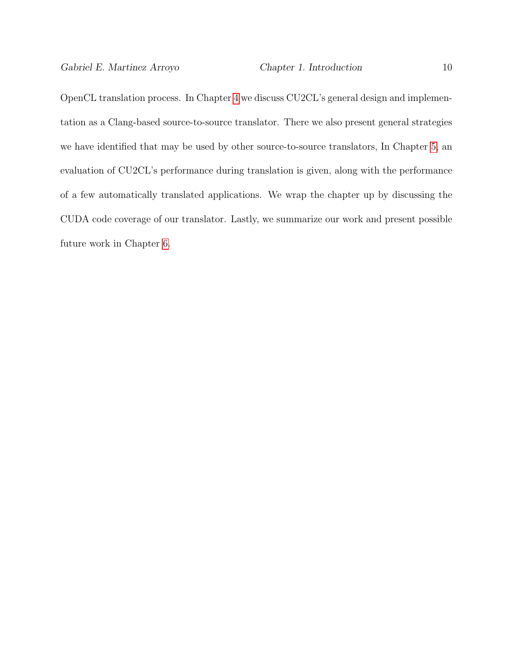OpenCL translation process. In Chapter [4](#page-42-0) we discuss CU2CL's general design and implementation as a Clang-based source-to-source translator. There we also present general strategies we have identified that may be used by other source-to-source translators, In Chapter [5,](#page-55-0) an evaluation of CU2CL's performance during translation is given, along with the performance of a few automatically translated applications. We wrap the chapter up by discussing the CUDA code coverage of our translator. Lastly, we summarize our work and present possible future work in Chapter [6.](#page-64-0)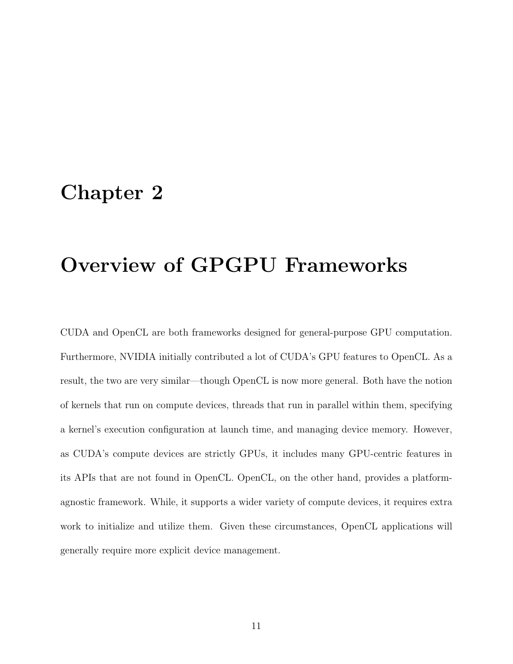## <span id="page-17-0"></span>Chapter 2

# Overview of GPGPU Frameworks

CUDA and OpenCL are both frameworks designed for general-purpose GPU computation. Furthermore, NVIDIA initially contributed a lot of CUDA's GPU features to OpenCL. As a result, the two are very similar—though OpenCL is now more general. Both have the notion of kernels that run on compute devices, threads that run in parallel within them, specifying a kernel's execution configuration at launch time, and managing device memory. However, as CUDA's compute devices are strictly GPUs, it includes many GPU-centric features in its APIs that are not found in OpenCL. OpenCL, on the other hand, provides a platformagnostic framework. While, it supports a wider variety of compute devices, it requires extra work to initialize and utilize them. Given these circumstances, OpenCL applications will generally require more explicit device management.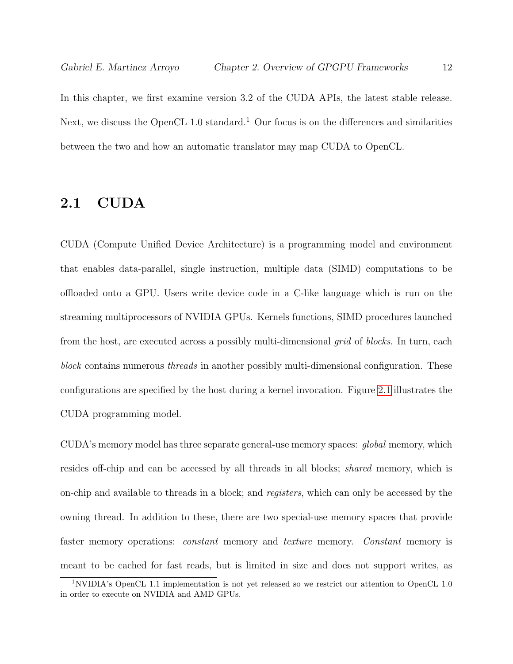In this chapter, we first examine version 3.2 of the CUDA APIs, the latest stable release. Next, we discuss the OpenCL 1.0 standard.<sup>1</sup> Our focus is on the differences and similarities between the two and how an automatic translator may map CUDA to OpenCL.

### <span id="page-18-0"></span>2.1 CUDA

CUDA (Compute Unified Device Architecture) is a programming model and environment that enables data-parallel, single instruction, multiple data (SIMD) computations to be offloaded onto a GPU. Users write device code in a C-like language which is run on the streaming multiprocessors of NVIDIA GPUs. Kernels functions, SIMD procedures launched from the host, are executed across a possibly multi-dimensional *grid* of *blocks*. In turn, each block contains numerous threads in another possibly multi-dimensional configuration. These configurations are specified by the host during a kernel invocation. Figure [2.1](#page-19-0) illustrates the CUDA programming model.

CUDA's memory model has three separate general-use memory spaces: global memory, which resides off-chip and can be accessed by all threads in all blocks; shared memory, which is on-chip and available to threads in a block; and registers, which can only be accessed by the owning thread. In addition to these, there are two special-use memory spaces that provide faster memory operations: constant memory and texture memory. Constant memory is meant to be cached for fast reads, but is limited in size and does not support writes, as

<sup>1</sup>NVIDIA's OpenCL 1.1 implementation is not yet released so we restrict our attention to OpenCL 1.0 in order to execute on NVIDIA and AMD GPUs.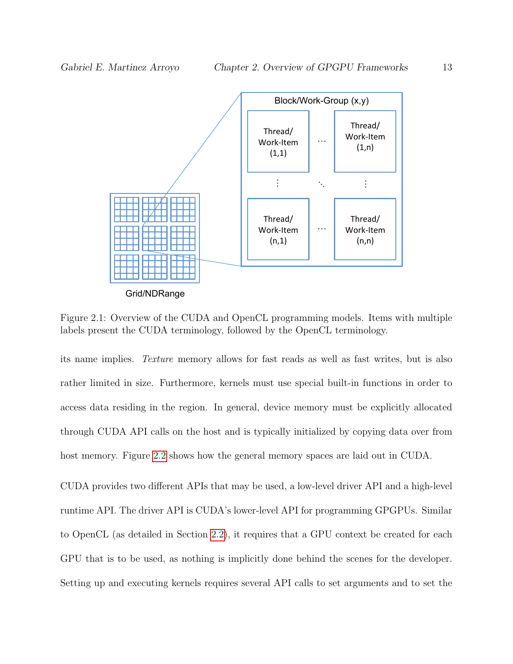

<span id="page-19-0"></span>Grid/NDRange

Figure 2.1: Overview of the CUDA and OpenCL programming models. Items with multiple labels present the CUDA terminology, followed by the OpenCL terminology.

its name implies. Texture memory allows for fast reads as well as fast writes, but is also rather limited in size. Furthermore, kernels must use special built-in functions in order to access data residing in the region. In general, device memory must be explicitly allocated through CUDA API calls on the host and is typically initialized by copying data over from host memory. Figure [2.2](#page-20-0) shows how the general memory spaces are laid out in CUDA.

CUDA provides two different APIs that may be used, a low-level driver API and a high-level runtime API. The driver API is CUDA's lower-level API for programming GPGPUs. Similar to OpenCL (as detailed in Section [2.2\)](#page-21-0), it requires that a GPU context be created for each GPU that is to be used, as nothing is implicitly done behind the scenes for the developer. Setting up and executing kernels requires several API calls to set arguments and to set the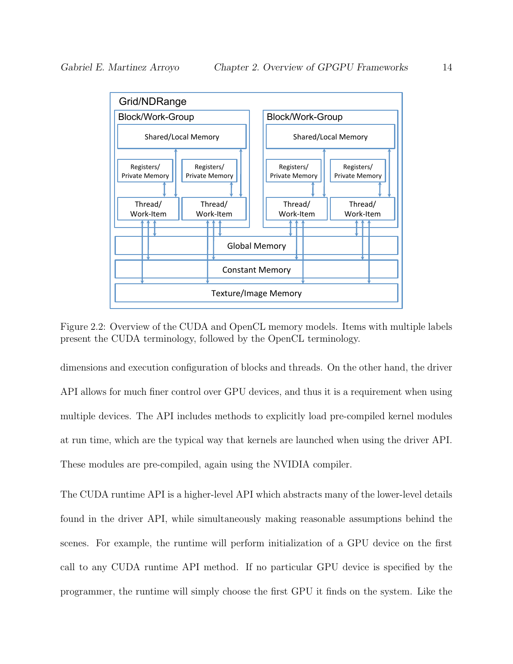

<span id="page-20-0"></span>Figure 2.2: Overview of the CUDA and OpenCL memory models. Items with multiple labels present the CUDA terminology, followed by the OpenCL terminology.

dimensions and execution configuration of blocks and threads. On the other hand, the driver API allows for much finer control over GPU devices, and thus it is a requirement when using multiple devices. The API includes methods to explicitly load pre-compiled kernel modules at run time, which are the typical way that kernels are launched when using the driver API. These modules are pre-compiled, again using the NVIDIA compiler.

The CUDA runtime API is a higher-level API which abstracts many of the lower-level details found in the driver API, while simultaneously making reasonable assumptions behind the scenes. For example, the runtime will perform initialization of a GPU device on the first call to any CUDA runtime API method. If no particular GPU device is specified by the programmer, the runtime will simply choose the first GPU it finds on the system. Like the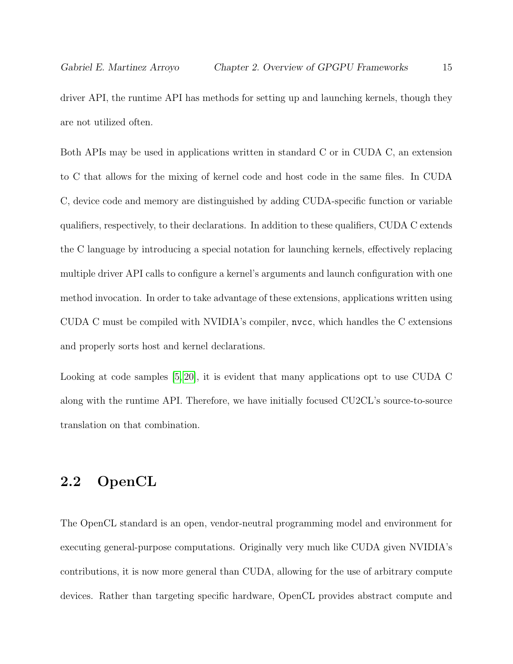driver API, the runtime API has methods for setting up and launching kernels, though they are not utilized often.

Both APIs may be used in applications written in standard C or in CUDA C, an extension to C that allows for the mixing of kernel code and host code in the same files. In CUDA C, device code and memory are distinguished by adding CUDA-specific function or variable qualifiers, respectively, to their declarations. In addition to these qualifiers, CUDA C extends the C language by introducing a special notation for launching kernels, effectively replacing multiple driver API calls to configure a kernel's arguments and launch configuration with one method invocation. In order to take advantage of these extensions, applications written using CUDA C must be compiled with NVIDIA's compiler, nvcc, which handles the C extensions and properly sorts host and kernel declarations.

Looking at code samples [\[5,](#page-68-1) [20\]](#page-70-5), it is evident that many applications opt to use CUDA C along with the runtime API. Therefore, we have initially focused CU2CL's source-to-source translation on that combination.

### <span id="page-21-0"></span>2.2 OpenCL

The OpenCL standard is an open, vendor-neutral programming model and environment for executing general-purpose computations. Originally very much like CUDA given NVIDIA's contributions, it is now more general than CUDA, allowing for the use of arbitrary compute devices. Rather than targeting specific hardware, OpenCL provides abstract compute and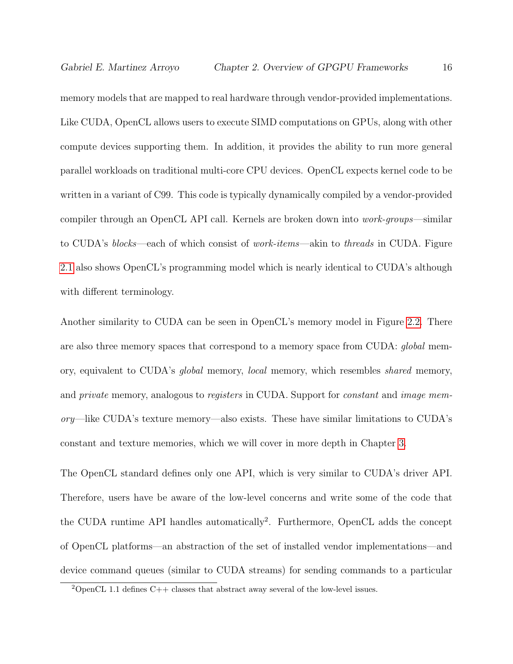memory models that are mapped to real hardware through vendor-provided implementations. Like CUDA, OpenCL allows users to execute SIMD computations on GPUs, along with other compute devices supporting them. In addition, it provides the ability to run more general parallel workloads on traditional multi-core CPU devices. OpenCL expects kernel code to be written in a variant of C99. This code is typically dynamically compiled by a vendor-provided compiler through an OpenCL API call. Kernels are broken down into work-groups—similar to CUDA's blocks—each of which consist of work-items—akin to threads in CUDA. Figure [2.1](#page-19-0) also shows OpenCL's programming model which is nearly identical to CUDA's although with different terminology.

Another similarity to CUDA can be seen in OpenCL's memory model in Figure [2.2.](#page-20-0) There are also three memory spaces that correspond to a memory space from CUDA: global memory, equivalent to CUDA's global memory, local memory, which resembles shared memory, and *private* memory, analogous to *registers* in CUDA. Support for *constant* and *image* memory—like CUDA's texture memory—also exists. These have similar limitations to CUDA's constant and texture memories, which we will cover in more depth in Chapter [3.](#page-25-0)

The OpenCL standard defines only one API, which is very similar to CUDA's driver API. Therefore, users have be aware of the low-level concerns and write some of the code that the CUDA runtime API handles automatically<sup>2</sup>. Furthermore, OpenCL adds the concept of OpenCL platforms—an abstraction of the set of installed vendor implementations—and device command queues (similar to CUDA streams) for sending commands to a particular

<sup>&</sup>lt;sup>2</sup>OpenCL 1.1 defines C++ classes that abstract away several of the low-level issues.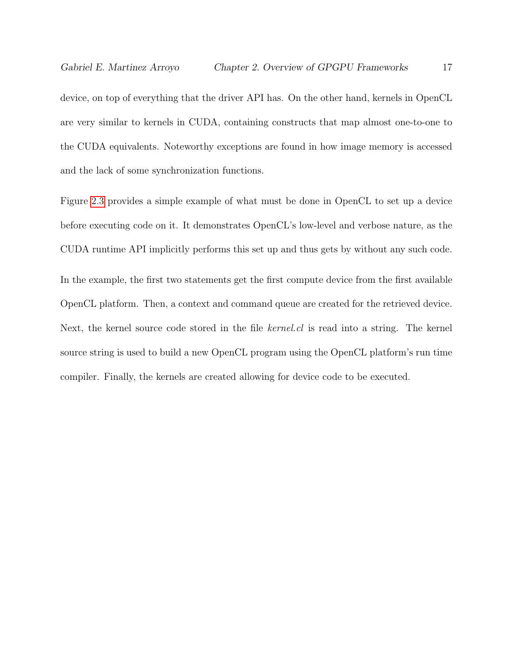device, on top of everything that the driver API has. On the other hand, kernels in OpenCL are very similar to kernels in CUDA, containing constructs that map almost one-to-one to the CUDA equivalents. Noteworthy exceptions are found in how image memory is accessed and the lack of some synchronization functions.

Figure [2.3](#page-24-0) provides a simple example of what must be done in OpenCL to set up a device before executing code on it. It demonstrates OpenCL's low-level and verbose nature, as the CUDA runtime API implicitly performs this set up and thus gets by without any such code. In the example, the first two statements get the first compute device from the first available OpenCL platform. Then, a context and command queue are created for the retrieved device. Next, the kernel source code stored in the file kernel.cl is read into a string. The kernel source string is used to build a new OpenCL program using the OpenCL platform's run time compiler. Finally, the kernels are created allowing for device code to be executed.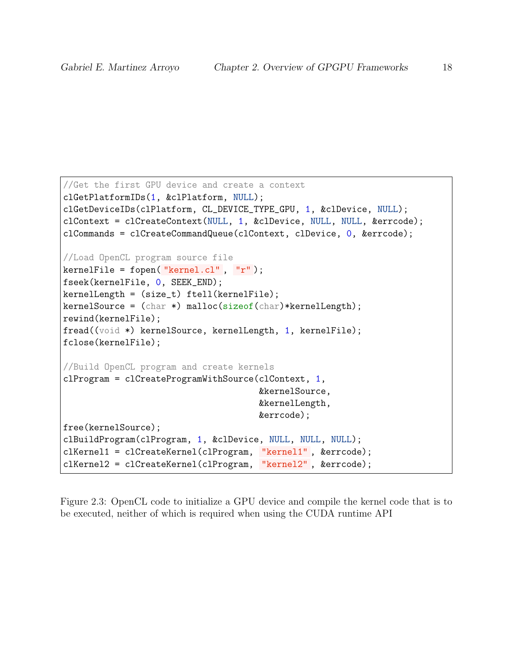```
//Get the first GPU device and create a context
clGetPlatformIDs(1, &clPlatform, NULL);
clGetDeviceIDs(clPlatform, CL_DEVICE_TYPE_GPU, 1, &clDevice, NULL);
clContext = clCreateContext(NULL, 1, &clDevice, NULL, NULL, &errcode);
clCommands = clCreateCommandQueue(clContext, clDevice, 0, &errcode);
//Load OpenCL program source file
kernelFile = fopen("kernel.cl", "r");
fseek(kernelFile, 0, SEEK_END);
kernelLength = (size_t) ftell(kernelFile);
kernelSource = (char * ) malloc(sizeof(char)*kernelLength);
rewind(kernelFile);
fread((void *) kernelSource, kernelLength, 1, kernelFile);
fclose(kernelFile);
//Build OpenCL program and create kernels
clProgram = clCreateProgramWithSource(clContext, 1,
                                      &kernelSource,
                                      &kernelLength,
                                      &errcode);
free(kernelSource);
clBuildProgram(clProgram, 1, &clDevice, NULL, NULL, NULL);
clKernel1 = clCreateKernel(clProgram, "kernel1" , &errcode);
clKernel2 = clCreateKernel(clProgram, "kernel2" , &errcode);
```
<span id="page-24-0"></span>Figure 2.3: OpenCL code to initialize a GPU device and compile the kernel code that is to be executed, neither of which is required when using the CUDA runtime API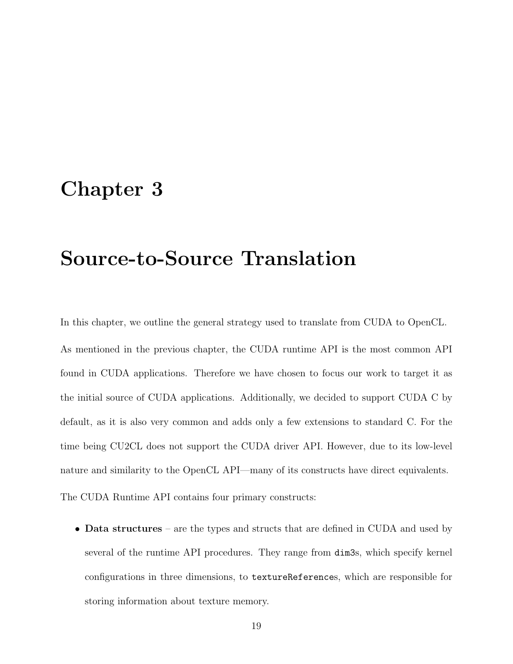## <span id="page-25-0"></span>Chapter 3

# Source-to-Source Translation

The CUDA Runtime API contains four primary constructs:

In this chapter, we outline the general strategy used to translate from CUDA to OpenCL. As mentioned in the previous chapter, the CUDA runtime API is the most common API found in CUDA applications. Therefore we have chosen to focus our work to target it as the initial source of CUDA applications. Additionally, we decided to support CUDA C by default, as it is also very common and adds only a few extensions to standard C. For the time being CU2CL does not support the CUDA driver API. However, due to its low-level nature and similarity to the OpenCL API—many of its constructs have direct equivalents.

• Data structures – are the types and structs that are defined in CUDA and used by several of the runtime API procedures. They range from dim3s, which specify kernel configurations in three dimensions, to textureReferences, which are responsible for storing information about texture memory.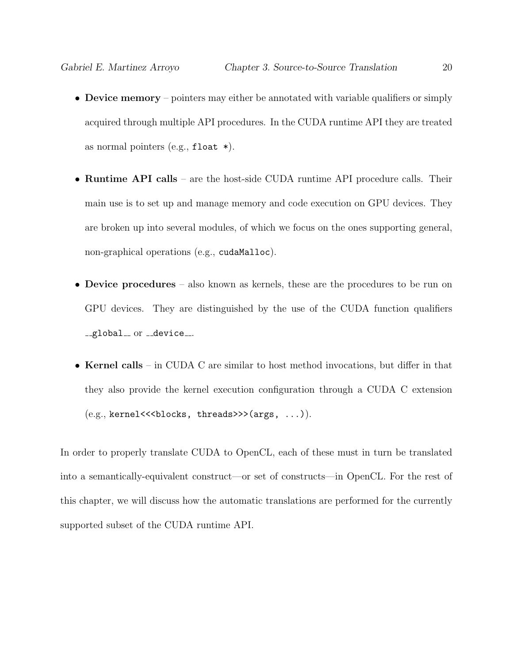- Device memory pointers may either be annotated with variable qualifiers or simply acquired through multiple API procedures. In the CUDA runtime API they are treated as normal pointers (e.g.,  $float *$ ).
- Runtime API calls are the host-side CUDA runtime API procedure calls. Their main use is to set up and manage memory and code execution on GPU devices. They are broken up into several modules, of which we focus on the ones supporting general, non-graphical operations (e.g., cudaMalloc).
- Device procedures also known as kernels, these are the procedures to be run on GPU devices. They are distinguished by the use of the CUDA function qualifiers \_global\_\_ or \_\_device\_\_.
- Kernel calls in CUDA C are similar to host method invocations, but differ in that they also provide the kernel execution configuration through a CUDA C extension  $(e.g., \text{kernel}<<\text{blocks}, \text{threads}>>(\text{args}, \ldots)).$

In order to properly translate CUDA to OpenCL, each of these must in turn be translated into a semantically-equivalent construct—or set of constructs—in OpenCL. For the rest of this chapter, we will discuss how the automatic translations are performed for the currently supported subset of the CUDA runtime API.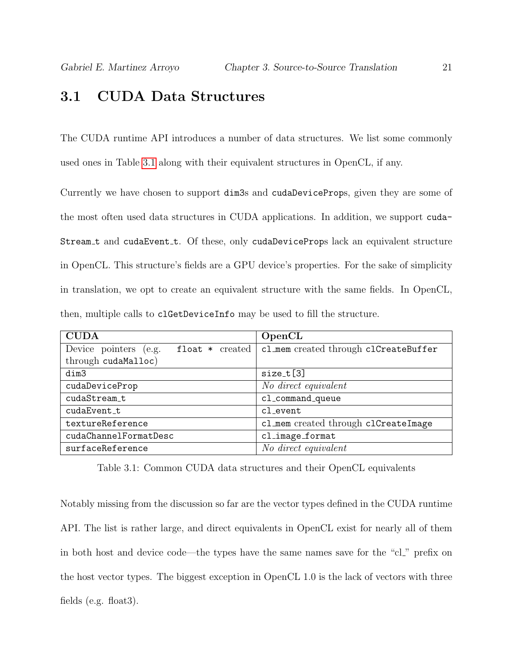### <span id="page-27-0"></span>3.1 CUDA Data Structures

The CUDA runtime API introduces a number of data structures. We list some commonly used ones in Table [3.1](#page-27-1) along with their equivalent structures in OpenCL, if any.

Currently we have chosen to support dim3s and cudaDeviceProps, given they are some of the most often used data structures in CUDA applications. In addition, we support cuda-Stream<sub>-t</sub> and cudaEvent<sub>-t.</sub> Of these, only cudaDeviceProps lack an equivalent structure in OpenCL. This structure's fields are a GPU device's properties. For the sake of simplicity in translation, we opt to create an equivalent structure with the same fields. In OpenCL, then, multiple calls to clGetDeviceInfo may be used to fill the structure.

| <b>CUDA</b>                                | OpenCL                                |  |
|--------------------------------------------|---------------------------------------|--|
| Device pointers (e.g.<br>$float * created$ | cl_mem created through clCreateBuffer |  |
| through cudaMalloc)                        |                                       |  |
| dim3                                       | $size_t[3]$                           |  |
| cudaDeviceProp                             | No direct equivalent                  |  |
| cudaStream_t                               | cl_command_queue                      |  |
| cudaEvent t                                | cl event                              |  |
| textureReference                           | cl_mem created through clCreateImage  |  |
| cudaChannelFormatDesc                      | cl_image_format                       |  |
| surfaceReference                           | No direct equivalent                  |  |

<span id="page-27-1"></span>Table 3.1: Common CUDA data structures and their OpenCL equivalents

Notably missing from the discussion so far are the vector types defined in the CUDA runtime API. The list is rather large, and direct equivalents in OpenCL exist for nearly all of them in both host and device code—the types have the same names save for the "cl" prefix on the host vector types. The biggest exception in OpenCL 1.0 is the lack of vectors with three fields (e.g. float3).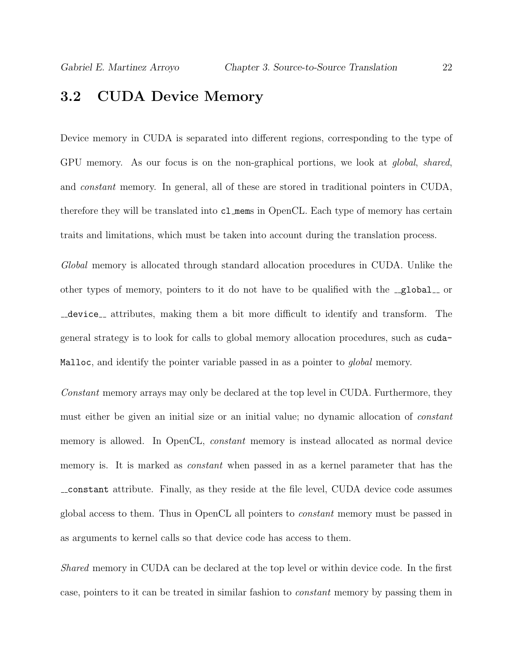### <span id="page-28-0"></span>3.2 CUDA Device Memory

Device memory in CUDA is separated into different regions, corresponding to the type of GPU memory. As our focus is on the non-graphical portions, we look at *qlobal, shared*, and constant memory. In general, all of these are stored in traditional pointers in CUDA, therefore they will be translated into cl mems in OpenCL. Each type of memory has certain traits and limitations, which must be taken into account during the translation process.

Global memory is allocated through standard allocation procedures in CUDA. Unlike the other types of memory, pointers to it do not have to be qualified with the  $\text{-global}$  or device attributes, making them a bit more difficult to identify and transform. The general strategy is to look for calls to global memory allocation procedures, such as cuda-Malloc, and identify the pointer variable passed in as a pointer to *qlobal* memory.

Constant memory arrays may only be declared at the top level in CUDA. Furthermore, they must either be given an initial size or an initial value; no dynamic allocation of constant memory is allowed. In OpenCL, constant memory is instead allocated as normal device memory is. It is marked as constant when passed in as a kernel parameter that has the constant attribute. Finally, as they reside at the file level, CUDA device code assumes global access to them. Thus in OpenCL all pointers to constant memory must be passed in as arguments to kernel calls so that device code has access to them.

Shared memory in CUDA can be declared at the top level or within device code. In the first case, pointers to it can be treated in similar fashion to constant memory by passing them in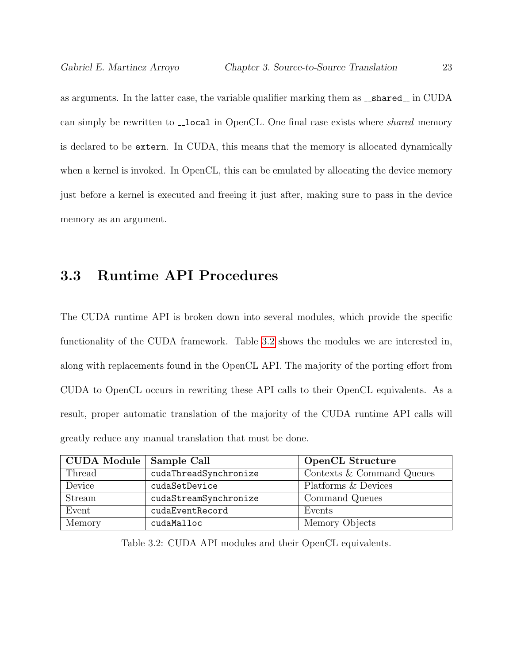as arguments. In the latter case, the variable qualifier marking them as  $\Box$ shared  $\Box$  in CUDA can simply be rewritten to \_**local** in OpenCL. One final case exists where *shared* memory is declared to be extern. In CUDA, this means that the memory is allocated dynamically when a kernel is invoked. In OpenCL, this can be emulated by allocating the device memory just before a kernel is executed and freeing it just after, making sure to pass in the device memory as an argument.

### <span id="page-29-0"></span>3.3 Runtime API Procedures

The CUDA runtime API is broken down into several modules, which provide the specific functionality of the CUDA framework. Table [3.2](#page-29-1) shows the modules we are interested in, along with replacements found in the OpenCL API. The majority of the porting effort from CUDA to OpenCL occurs in rewriting these API calls to their OpenCL equivalents. As a result, proper automatic translation of the majority of the CUDA runtime API calls will greatly reduce any manual translation that must be done.

| <b>CUDA Module</b> | Sample Call           | <b>OpenCL Structure</b>   |
|--------------------|-----------------------|---------------------------|
| Thread             | cudaThreadSynchronize | Contexts & Command Queues |
| Device             | cudaSetDevice         | Platforms & Devices       |
| Stream             | cudaStreamSynchronize | Command Queues            |
| Event              | cudaEventRecord       | Events                    |
| Memory             | cudaMalloc            | Memory Objects            |

<span id="page-29-1"></span>Table 3.2: CUDA API modules and their OpenCL equivalents.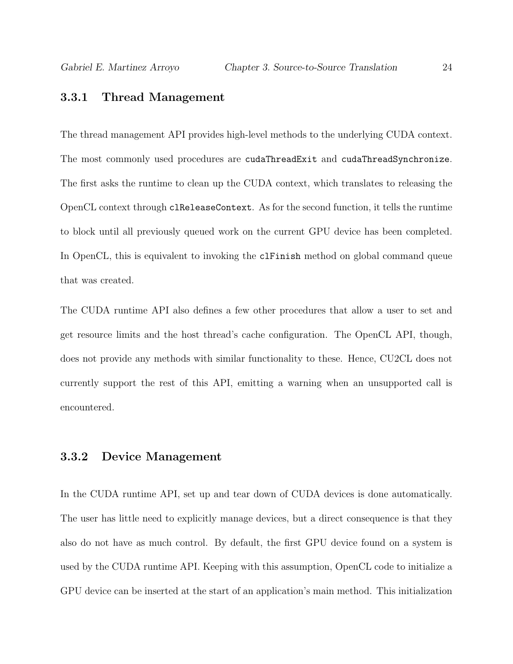#### <span id="page-30-0"></span>3.3.1 Thread Management

The thread management API provides high-level methods to the underlying CUDA context. The most commonly used procedures are cudaThreadExit and cudaThreadSynchronize. The first asks the runtime to clean up the CUDA context, which translates to releasing the OpenCL context through clReleaseContext. As for the second function, it tells the runtime to block until all previously queued work on the current GPU device has been completed. In OpenCL, this is equivalent to invoking the clFinish method on global command queue that was created.

The CUDA runtime API also defines a few other procedures that allow a user to set and get resource limits and the host thread's cache configuration. The OpenCL API, though, does not provide any methods with similar functionality to these. Hence, CU2CL does not currently support the rest of this API, emitting a warning when an unsupported call is encountered.

#### <span id="page-30-1"></span>3.3.2 Device Management

In the CUDA runtime API, set up and tear down of CUDA devices is done automatically. The user has little need to explicitly manage devices, but a direct consequence is that they also do not have as much control. By default, the first GPU device found on a system is used by the CUDA runtime API. Keeping with this assumption, OpenCL code to initialize a GPU device can be inserted at the start of an application's main method. This initialization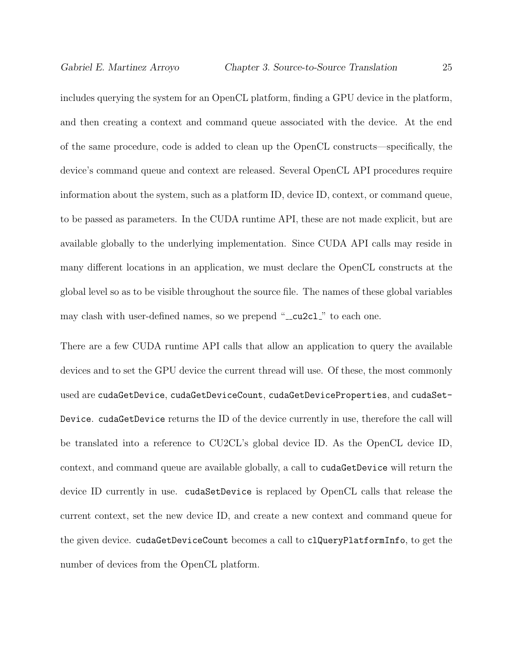includes querying the system for an OpenCL platform, finding a GPU device in the platform, and then creating a context and command queue associated with the device. At the end of the same procedure, code is added to clean up the OpenCL constructs—specifically, the device's command queue and context are released. Several OpenCL API procedures require information about the system, such as a platform ID, device ID, context, or command queue, to be passed as parameters. In the CUDA runtime API, these are not made explicit, but are available globally to the underlying implementation. Since CUDA API calls may reside in many different locations in an application, we must declare the OpenCL constructs at the global level so as to be visible throughout the source file. The names of these global variables may clash with user-defined names, so we prepend "\_cu2cl\_" to each one.

There are a few CUDA runtime API calls that allow an application to query the available devices and to set the GPU device the current thread will use. Of these, the most commonly used are cudaGetDevice, cudaGetDeviceCount, cudaGetDeviceProperties, and cudaSet-Device. cudaGetDevice returns the ID of the device currently in use, therefore the call will be translated into a reference to CU2CL's global device ID. As the OpenCL device ID, context, and command queue are available globally, a call to cudaGetDevice will return the device ID currently in use. cudaSetDevice is replaced by OpenCL calls that release the current context, set the new device ID, and create a new context and command queue for the given device. cudaGetDeviceCount becomes a call to clQueryPlatformInfo, to get the number of devices from the OpenCL platform.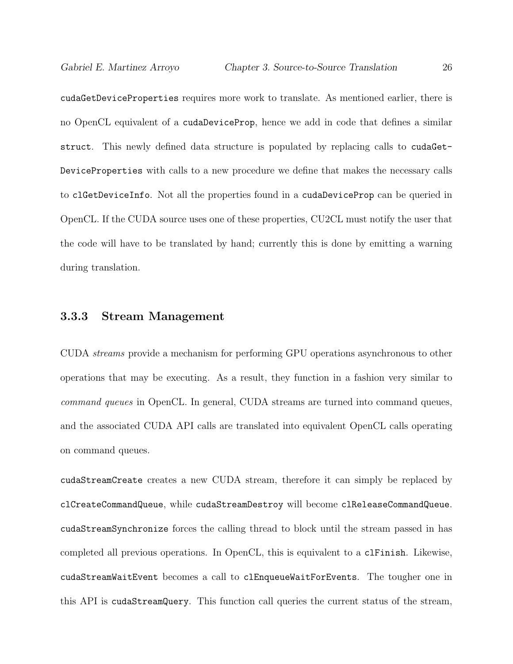cudaGetDeviceProperties requires more work to translate. As mentioned earlier, there is no OpenCL equivalent of a cudaDeviceProp, hence we add in code that defines a similar struct. This newly defined data structure is populated by replacing calls to cudaGet-DeviceProperties with calls to a new procedure we define that makes the necessary calls to clGetDeviceInfo. Not all the properties found in a cudaDeviceProp can be queried in OpenCL. If the CUDA source uses one of these properties, CU2CL must notify the user that the code will have to be translated by hand; currently this is done by emitting a warning during translation.

#### <span id="page-32-0"></span>3.3.3 Stream Management

CUDA streams provide a mechanism for performing GPU operations asynchronous to other operations that may be executing. As a result, they function in a fashion very similar to command queues in OpenCL. In general, CUDA streams are turned into command queues, and the associated CUDA API calls are translated into equivalent OpenCL calls operating on command queues.

cudaStreamCreate creates a new CUDA stream, therefore it can simply be replaced by clCreateCommandQueue, while cudaStreamDestroy will become clReleaseCommandQueue. cudaStreamSynchronize forces the calling thread to block until the stream passed in has completed all previous operations. In OpenCL, this is equivalent to a clFinish. Likewise, cudaStreamWaitEvent becomes a call to clEnqueueWaitForEvents. The tougher one in this API is cudaStreamQuery. This function call queries the current status of the stream,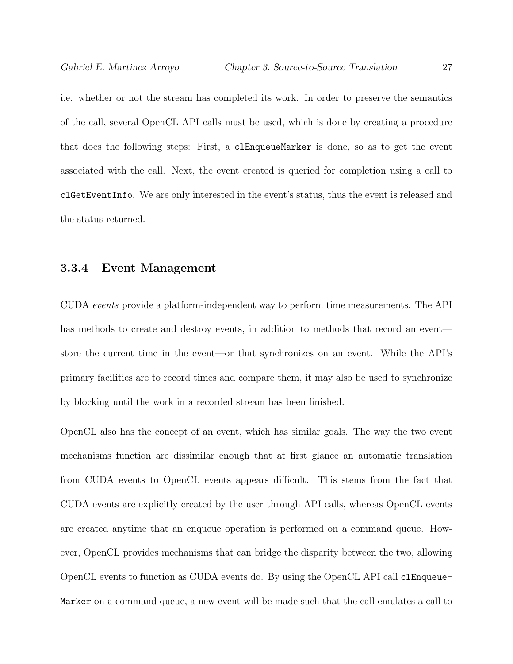i.e. whether or not the stream has completed its work. In order to preserve the semantics of the call, several OpenCL API calls must be used, which is done by creating a procedure that does the following steps: First, a clEnqueueMarker is done, so as to get the event associated with the call. Next, the event created is queried for completion using a call to clGetEventInfo. We are only interested in the event's status, thus the event is released and the status returned.

#### <span id="page-33-0"></span>3.3.4 Event Management

CUDA events provide a platform-independent way to perform time measurements. The API has methods to create and destroy events, in addition to methods that record an event store the current time in the event—or that synchronizes on an event. While the API's primary facilities are to record times and compare them, it may also be used to synchronize by blocking until the work in a recorded stream has been finished.

OpenCL also has the concept of an event, which has similar goals. The way the two event mechanisms function are dissimilar enough that at first glance an automatic translation from CUDA events to OpenCL events appears difficult. This stems from the fact that CUDA events are explicitly created by the user through API calls, whereas OpenCL events are created anytime that an enqueue operation is performed on a command queue. However, OpenCL provides mechanisms that can bridge the disparity between the two, allowing OpenCL events to function as CUDA events do. By using the OpenCL API call clEnqueue-Marker on a command queue, a new event will be made such that the call emulates a call to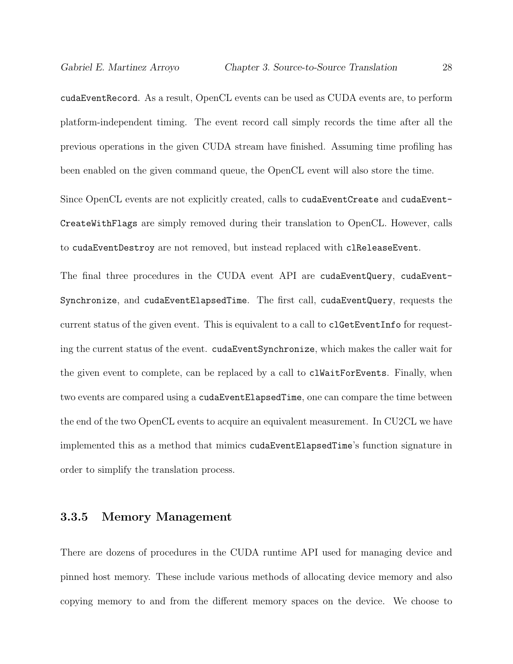cudaEventRecord. As a result, OpenCL events can be used as CUDA events are, to perform platform-independent timing. The event record call simply records the time after all the previous operations in the given CUDA stream have finished. Assuming time profiling has been enabled on the given command queue, the OpenCL event will also store the time.

Since OpenCL events are not explicitly created, calls to cudaEventCreate and cudaEvent-CreateWithFlags are simply removed during their translation to OpenCL. However, calls to cudaEventDestroy are not removed, but instead replaced with clReleaseEvent.

The final three procedures in the CUDA event API are cudaEventQuery, cudaEvent-Synchronize, and cudaEventElapsedTime. The first call, cudaEventQuery, requests the current status of the given event. This is equivalent to a call to clGetEventInfo for requesting the current status of the event. cudaEventSynchronize, which makes the caller wait for the given event to complete, can be replaced by a call to clWaitForEvents. Finally, when two events are compared using a cudaEventElapsedTime, one can compare the time between the end of the two OpenCL events to acquire an equivalent measurement. In CU2CL we have implemented this as a method that mimics cudaEventElapsedTime's function signature in order to simplify the translation process.

#### <span id="page-34-0"></span>3.3.5 Memory Management

There are dozens of procedures in the CUDA runtime API used for managing device and pinned host memory. These include various methods of allocating device memory and also copying memory to and from the different memory spaces on the device. We choose to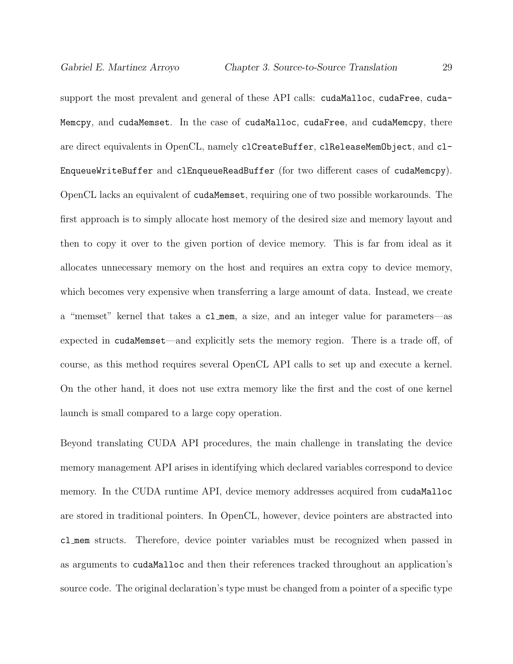support the most prevalent and general of these API calls: cudaMalloc, cudaFree, cuda-Memcpy, and cudaMemset. In the case of cudaMalloc, cudaFree, and cudaMemcpy, there are direct equivalents in OpenCL, namely clCreateBuffer, clReleaseMemObject, and cl-EnqueueWriteBuffer and clEnqueueReadBuffer (for two different cases of cudaMemcpy). OpenCL lacks an equivalent of cudaMemset, requiring one of two possible workarounds. The first approach is to simply allocate host memory of the desired size and memory layout and then to copy it over to the given portion of device memory. This is far from ideal as it allocates unnecessary memory on the host and requires an extra copy to device memory, which becomes very expensive when transferring a large amount of data. Instead, we create a "memset" kernel that takes a cl mem, a size, and an integer value for parameters—as expected in cudaMemset—and explicitly sets the memory region. There is a trade off, of course, as this method requires several OpenCL API calls to set up and execute a kernel. On the other hand, it does not use extra memory like the first and the cost of one kernel launch is small compared to a large copy operation.

Beyond translating CUDA API procedures, the main challenge in translating the device memory management API arises in identifying which declared variables correspond to device memory. In the CUDA runtime API, device memory addresses acquired from cudaMalloc are stored in traditional pointers. In OpenCL, however, device pointers are abstracted into cl mem structs. Therefore, device pointer variables must be recognized when passed in as arguments to cudaMalloc and then their references tracked throughout an application's source code. The original declaration's type must be changed from a pointer of a specific type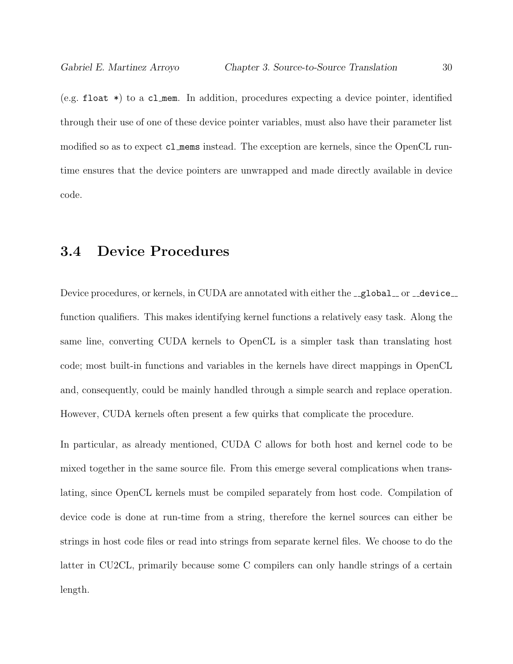(e.g. float \*) to a cl mem. In addition, procedures expecting a device pointer, identified through their use of one of these device pointer variables, must also have their parameter list modified so as to expect cl mems instead. The exception are kernels, since the OpenCL runtime ensures that the device pointers are unwrapped and made directly available in device code.

# 3.4 Device Procedures

Device procedures, or kernels, in CUDA are annotated with either the \_global\_or \_device\_ function qualifiers. This makes identifying kernel functions a relatively easy task. Along the same line, converting CUDA kernels to OpenCL is a simpler task than translating host code; most built-in functions and variables in the kernels have direct mappings in OpenCL and, consequently, could be mainly handled through a simple search and replace operation. However, CUDA kernels often present a few quirks that complicate the procedure.

In particular, as already mentioned, CUDA C allows for both host and kernel code to be mixed together in the same source file. From this emerge several complications when translating, since OpenCL kernels must be compiled separately from host code. Compilation of device code is done at run-time from a string, therefore the kernel sources can either be strings in host code files or read into strings from separate kernel files. We choose to do the latter in CU2CL, primarily because some C compilers can only handle strings of a certain length.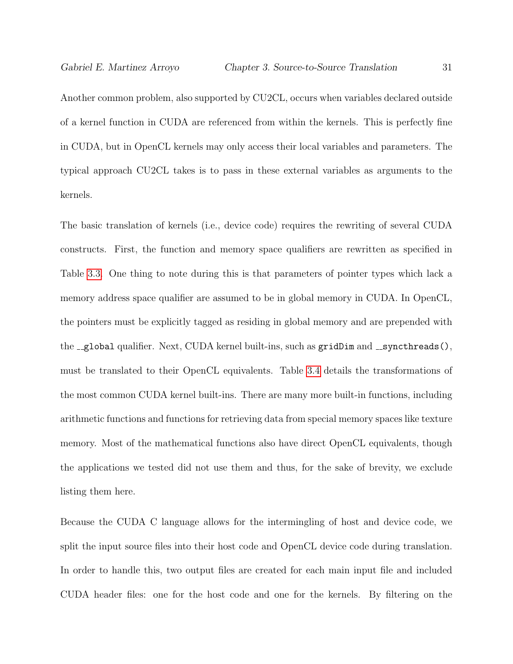Another common problem, also supported by CU2CL, occurs when variables declared outside of a kernel function in CUDA are referenced from within the kernels. This is perfectly fine in CUDA, but in OpenCL kernels may only access their local variables and parameters. The typical approach CU2CL takes is to pass in these external variables as arguments to the kernels.

The basic translation of kernels (i.e., device code) requires the rewriting of several CUDA constructs. First, the function and memory space qualifiers are rewritten as specified in Table [3.3.](#page-38-0) One thing to note during this is that parameters of pointer types which lack a memory address space qualifier are assumed to be in global memory in CUDA. In OpenCL, the pointers must be explicitly tagged as residing in global memory and are prepended with the  $-g$ lobal qualifier. Next, CUDA kernel built-ins, such as  $gridDim$  and  $-gy$ ncthreads(), must be translated to their OpenCL equivalents. Table [3.4](#page-38-1) details the transformations of the most common CUDA kernel built-ins. There are many more built-in functions, including arithmetic functions and functions for retrieving data from special memory spaces like texture memory. Most of the mathematical functions also have direct OpenCL equivalents, though the applications we tested did not use them and thus, for the sake of brevity, we exclude listing them here.

Because the CUDA C language allows for the intermingling of host and device code, we split the input source files into their host code and OpenCL device code during translation. In order to handle this, two output files are created for each main input file and included CUDA header files: one for the host code and one for the kernels. By filtering on the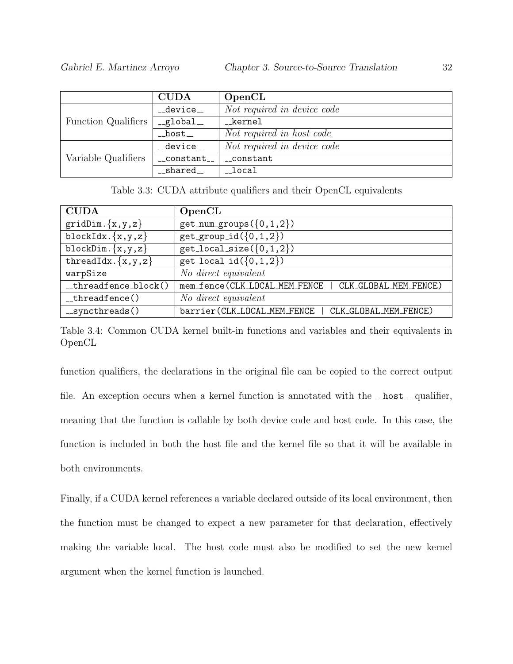|                            | <b>CUDA</b>             | OpenCL                      |
|----------------------------|-------------------------|-----------------------------|
| <b>Function Qualifiers</b> | __device__              | Not required in device code |
|                            | $-global$ <sub>--</sub> | kernel                      |
|                            | $\_host_{-}$            | Not required in host code   |
| Variable Qualifiers        | __device__              | Not required in device code |
|                            | $_{-}$ constant $_{-}$  | __constant                  |
|                            | __shared__              | $\_local$                   |

<span id="page-38-0"></span>Table 3.3: CUDA attribute qualifiers and their OpenCL equivalents

| <b>CUDA</b>                 | OpenCL                                                 |
|-----------------------------|--------------------------------------------------------|
| $gridDim.$ {x,y,z}          | $get_number(\{0,1,2\})$                                |
| blockIdx. ${x,y,z}$         | $get\_group_id({0,1,2})$                               |
| blockDim. $\{x, y, z\}$     | $get\_local\_size({0,1,2})$                            |
| threadIdx. $\{x, y, z\}$    | $get\_local_id({0,1,2})$                               |
| warpSize                    | No direct equivalent                                   |
| $-threadfence-block()$      | mem_fence(CLK_LOCAL_MEM_FENCE<br>CLK_GLOBAL_MEM_FENCE) |
| $-threadfence()$            | No direct equivalent                                   |
| $\text{-}$ syncthreads $()$ | barrier(CLK_LOCAL_MEM_FENCE<br>CLK_GLOBAL_MEM_FENCE)   |

<span id="page-38-1"></span>Table 3.4: Common CUDA kernel built-in functions and variables and their equivalents in OpenCL

function qualifiers, the declarations in the original file can be copied to the correct output file. An exception occurs when a kernel function is annotated with the  $\text{\_host{\_}}$  qualifier, meaning that the function is callable by both device code and host code. In this case, the function is included in both the host file and the kernel file so that it will be available in both environments.

Finally, if a CUDA kernel references a variable declared outside of its local environment, then the function must be changed to expect a new parameter for that declaration, effectively making the variable local. The host code must also be modified to set the new kernel argument when the kernel function is launched.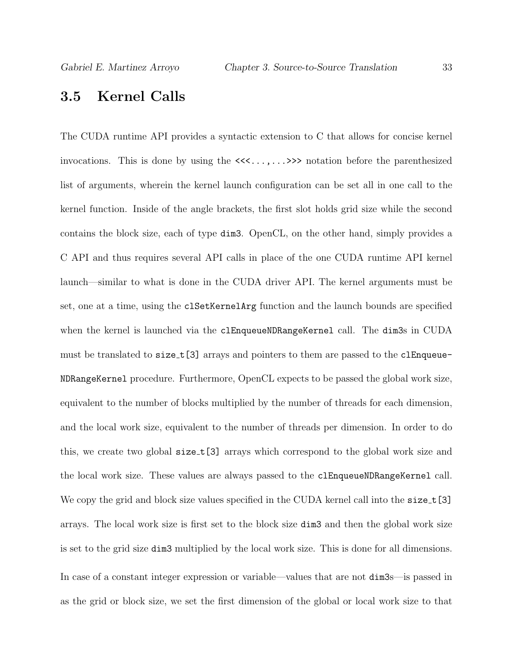#### 3.5 Kernel Calls

The CUDA runtime API provides a syntactic extension to C that allows for concise kernel invocations. This is done by using the <<<...,...>>> notation before the parenthesized list of arguments, wherein the kernel launch configuration can be set all in one call to the kernel function. Inside of the angle brackets, the first slot holds grid size while the second contains the block size, each of type dim3. OpenCL, on the other hand, simply provides a C API and thus requires several API calls in place of the one CUDA runtime API kernel launch—similar to what is done in the CUDA driver API. The kernel arguments must be set, one at a time, using the clSetKernelArg function and the launch bounds are specified when the kernel is launched via the clEnqueueNDRangeKernel call. The dim3s in CUDA must be translated to size\_t[3] arrays and pointers to them are passed to the clEnqueue-NDRangeKernel procedure. Furthermore, OpenCL expects to be passed the global work size, equivalent to the number of blocks multiplied by the number of threads for each dimension, and the local work size, equivalent to the number of threads per dimension. In order to do this, we create two global size\_t[3] arrays which correspond to the global work size and the local work size. These values are always passed to the clEnqueueNDRangeKernel call. We copy the grid and block size values specified in the CUDA kernel call into the size\_t [3] arrays. The local work size is first set to the block size dim3 and then the global work size is set to the grid size dim3 multiplied by the local work size. This is done for all dimensions. In case of a constant integer expression or variable—values that are not dim3s—is passed in as the grid or block size, we set the first dimension of the global or local work size to that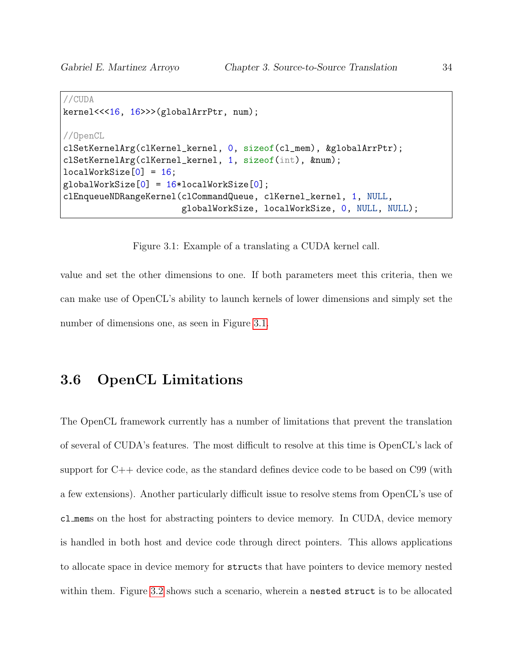```
//CUDA
kernel<<<16, 16>>>(globalArrPtr, num);
//OpenCL
clSetKernelArg(clKernel_kernel, 0, sizeof(cl_mem), &globalArrPtr);
clSetKernelArg(clKernel_kernel, 1, sizeof(int), &num);
localWorkSize[0] = 16;globalWorkSize[0] = 16*localWorkSize[0];
clEnqueueNDRangeKernel(clCommandQueue, clKernel_kernel, 1, NULL,
                       globalWorkSize, localWorkSize, 0, NULL, NULL);
```
<span id="page-40-0"></span>Figure 3.1: Example of a translating a CUDA kernel call.

value and set the other dimensions to one. If both parameters meet this criteria, then we can make use of OpenCL's ability to launch kernels of lower dimensions and simply set the number of dimensions one, as seen in Figure [3.1.](#page-40-0)

# 3.6 OpenCL Limitations

The OpenCL framework currently has a number of limitations that prevent the translation of several of CUDA's features. The most difficult to resolve at this time is OpenCL's lack of support for C++ device code, as the standard defines device code to be based on C99 (with a few extensions). Another particularly difficult issue to resolve stems from OpenCL's use of cl mems on the host for abstracting pointers to device memory. In CUDA, device memory is handled in both host and device code through direct pointers. This allows applications to allocate space in device memory for structs that have pointers to device memory nested within them. Figure [3.2](#page-41-0) shows such a scenario, wherein a nested struct is to be allocated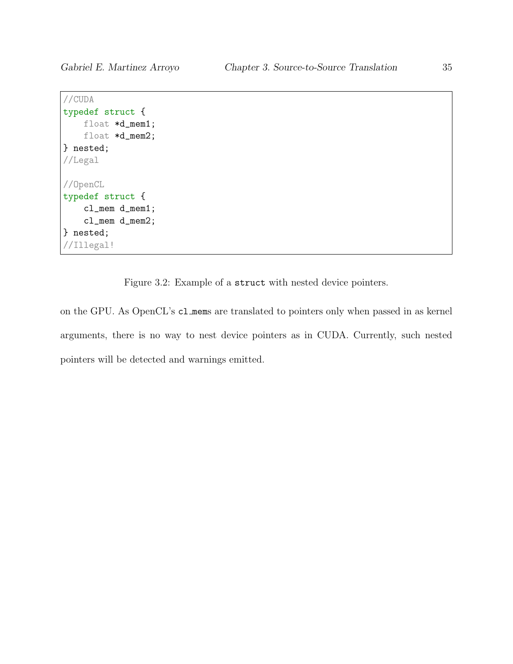```
//CUDA
typedef struct {
    float *d_mem1;
   float *d_mem2;
} nested;
//Legal
//OpenCL
typedef struct {
    cl_mem d_mem1;
    cl_mem d_mem2;
} nested;
//Illegal!
```
<span id="page-41-0"></span>Figure 3.2: Example of a struct with nested device pointers.

on the GPU. As OpenCL's cl mems are translated to pointers only when passed in as kernel arguments, there is no way to nest device pointers as in CUDA. Currently, such nested pointers will be detected and warnings emitted.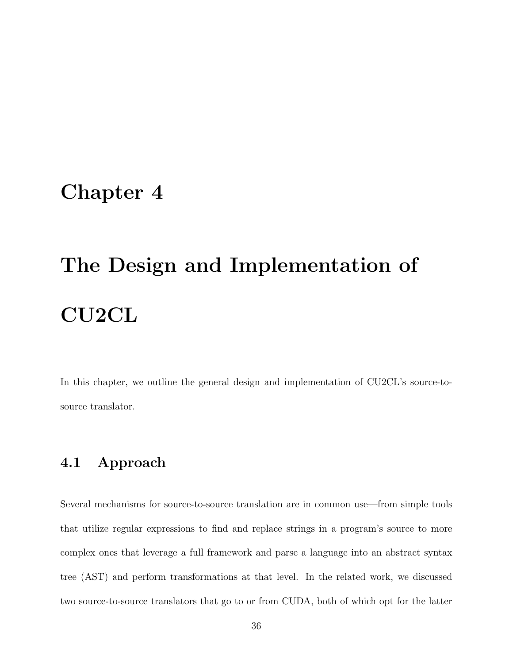# <span id="page-42-0"></span>Chapter 4

# The Design and Implementation of CU2CL

In this chapter, we outline the general design and implementation of CU2CL's source-tosource translator.

### 4.1 Approach

Several mechanisms for source-to-source translation are in common use—from simple tools that utilize regular expressions to find and replace strings in a program's source to more complex ones that leverage a full framework and parse a language into an abstract syntax tree (AST) and perform transformations at that level. In the related work, we discussed two source-to-source translators that go to or from CUDA, both of which opt for the latter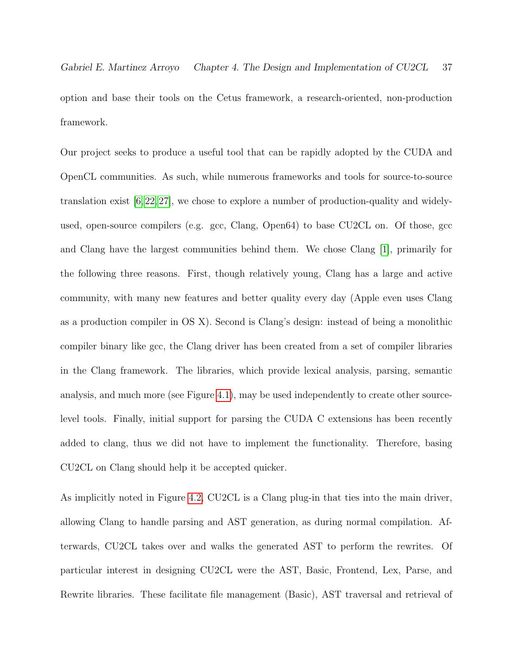Gabriel E. Martinez Arroyo Chapter 4. The Design and Implementation of CU2CL 37 option and base their tools on the Cetus framework, a research-oriented, non-production framework.

Our project seeks to produce a useful tool that can be rapidly adopted by the CUDA and OpenCL communities. As such, while numerous frameworks and tools for source-to-source translation exist [\[6,](#page-68-0) [22,](#page-71-0) [27\]](#page-71-1), we chose to explore a number of production-quality and widelyused, open-source compilers (e.g. gcc, Clang, Open64) to base CU2CL on. Of those, gcc and Clang have the largest communities behind them. We chose Clang [\[1\]](#page-68-1), primarily for the following three reasons. First, though relatively young, Clang has a large and active community, with many new features and better quality every day (Apple even uses Clang as a production compiler in OS X). Second is Clang's design: instead of being a monolithic compiler binary like gcc, the Clang driver has been created from a set of compiler libraries in the Clang framework. The libraries, which provide lexical analysis, parsing, semantic analysis, and much more (see Figure [4.1\)](#page-44-0), may be used independently to create other sourcelevel tools. Finally, initial support for parsing the CUDA C extensions has been recently added to clang, thus we did not have to implement the functionality. Therefore, basing CU2CL on Clang should help it be accepted quicker.

As implicitly noted in Figure [4.2,](#page-45-0) CU2CL is a Clang plug-in that ties into the main driver, allowing Clang to handle parsing and AST generation, as during normal compilation. Afterwards, CU2CL takes over and walks the generated AST to perform the rewrites. Of particular interest in designing CU2CL were the AST, Basic, Frontend, Lex, Parse, and Rewrite libraries. These facilitate file management (Basic), AST traversal and retrieval of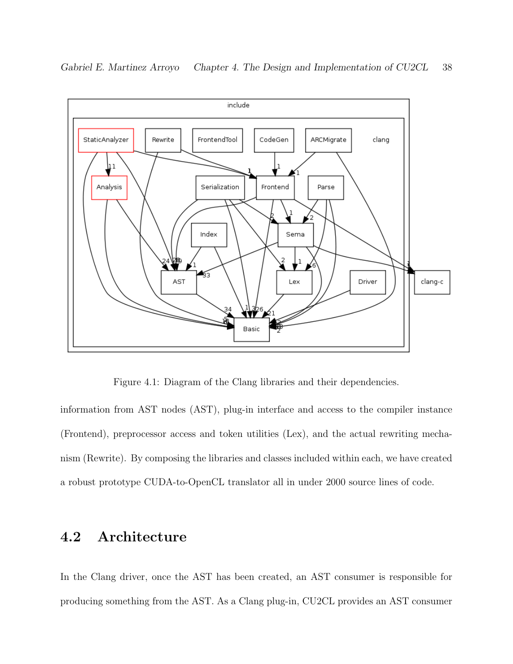

Gabriel E. Martinez Arroyo Chapter 4. The Design and Implementation of CU2CL 38

<span id="page-44-0"></span>Figure 4.1: Diagram of the Clang libraries and their dependencies.

information from AST nodes (AST), plug-in interface and access to the compiler instance (Frontend), preprocessor access and token utilities (Lex), and the actual rewriting mechanism (Rewrite). By composing the libraries and classes included within each, we have created a robust prototype CUDA-to-OpenCL translator all in under 2000 source lines of code.

### 4.2 Architecture

In the Clang driver, once the AST has been created, an AST consumer is responsible for producing something from the AST. As a Clang plug-in, CU2CL provides an AST consumer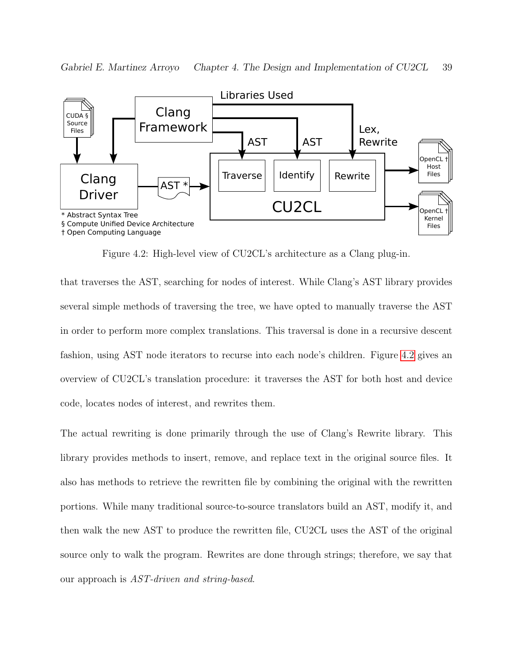

<span id="page-45-0"></span>Figure 4.2: High-level view of CU2CL's architecture as a Clang plug-in.

that traverses the AST, searching for nodes of interest. While Clang's AST library provides several simple methods of traversing the tree, we have opted to manually traverse the AST in order to perform more complex translations. This traversal is done in a recursive descent fashion, using AST node iterators to recurse into each node's children. Figure [4.2](#page-45-0) gives an overview of CU2CL's translation procedure: it traverses the AST for both host and device code, locates nodes of interest, and rewrites them.

The actual rewriting is done primarily through the use of Clang's Rewrite library. This library provides methods to insert, remove, and replace text in the original source files. It also has methods to retrieve the rewritten file by combining the original with the rewritten portions. While many traditional source-to-source translators build an AST, modify it, and then walk the new AST to produce the rewritten file, CU2CL uses the AST of the original source only to walk the program. Rewrites are done through strings; therefore, we say that our approach is AST-driven and string-based.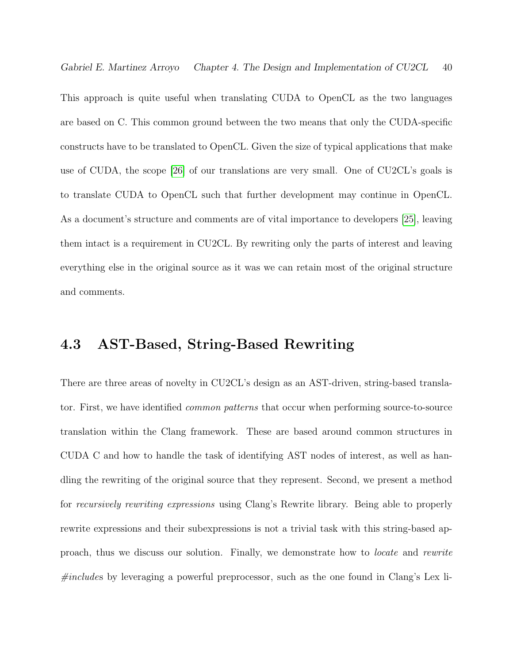Gabriel E. Martinez Arroyo Chapter 4. The Design and Implementation of CU2CL 40

This approach is quite useful when translating CUDA to OpenCL as the two languages are based on C. This common ground between the two means that only the CUDA-specific constructs have to be translated to OpenCL. Given the size of typical applications that make use of CUDA, the scope [\[26\]](#page-71-2) of our translations are very small. One of CU2CL's goals is to translate CUDA to OpenCL such that further development may continue in OpenCL. As a document's structure and comments are of vital importance to developers [\[25\]](#page-71-3), leaving them intact is a requirement in CU2CL. By rewriting only the parts of interest and leaving everything else in the original source as it was we can retain most of the original structure and comments.

# 4.3 AST-Based, String-Based Rewriting

There are three areas of novelty in CU2CL's design as an AST-driven, string-based translator. First, we have identified common patterns that occur when performing source-to-source translation within the Clang framework. These are based around common structures in CUDA C and how to handle the task of identifying AST nodes of interest, as well as handling the rewriting of the original source that they represent. Second, we present a method for recursively rewriting expressions using Clang's Rewrite library. Being able to properly rewrite expressions and their subexpressions is not a trivial task with this string-based approach, thus we discuss our solution. Finally, we demonstrate how to locate and rewrite  $\#includes$  by leveraging a powerful preprocessor, such as the one found in Clang's Lex li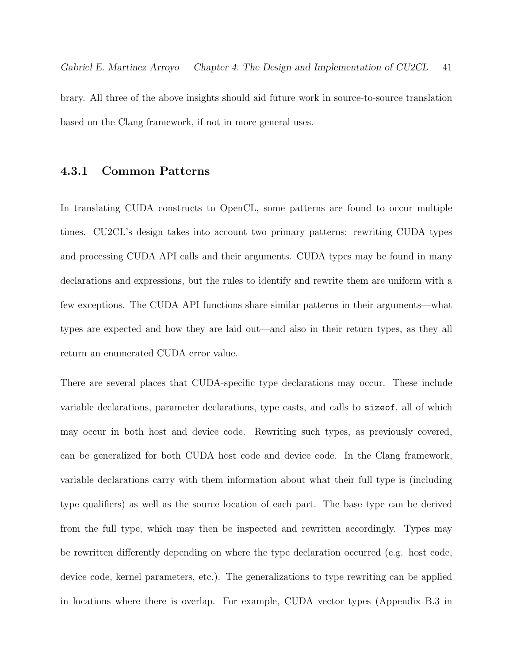brary. All three of the above insights should aid future work in source-to-source translation based on the Clang framework, if not in more general uses.

#### 4.3.1 Common Patterns

In translating CUDA constructs to OpenCL, some patterns are found to occur multiple times. CU2CL's design takes into account two primary patterns: rewriting CUDA types and processing CUDA API calls and their arguments. CUDA types may be found in many declarations and expressions, but the rules to identify and rewrite them are uniform with a few exceptions. The CUDA API functions share similar patterns in their arguments—what types are expected and how they are laid out—and also in their return types, as they all return an enumerated CUDA error value.

There are several places that CUDA-specific type declarations may occur. These include variable declarations, parameter declarations, type casts, and calls to sizeof, all of which may occur in both host and device code. Rewriting such types, as previously covered, can be generalized for both CUDA host code and device code. In the Clang framework, variable declarations carry with them information about what their full type is (including type qualifiers) as well as the source location of each part. The base type can be derived from the full type, which may then be inspected and rewritten accordingly. Types may be rewritten differently depending on where the type declaration occurred (e.g. host code, device code, kernel parameters, etc.). The generalizations to type rewriting can be applied in locations where there is overlap. For example, CUDA vector types (Appendix B.3 in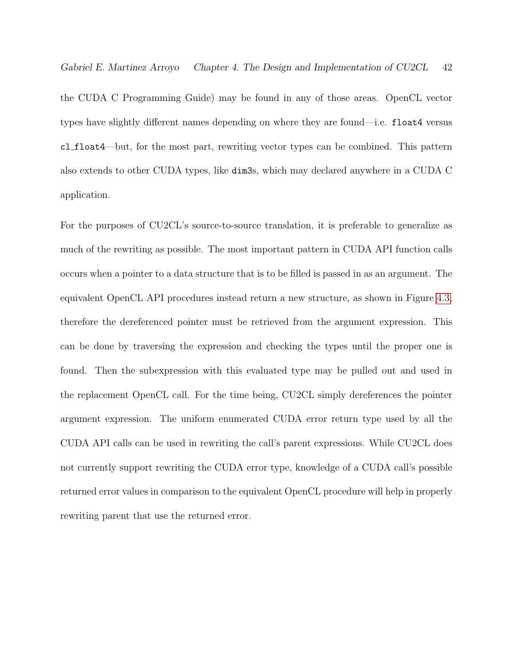Gabriel E. Martinez Arroyo Chapter 4. The Design and Implementation of CU2CL 42

the CUDA C Programming Guide) may be found in any of those areas. OpenCL vector types have slightly different names depending on where they are found—i.e. float4 versus cl float4—but, for the most part, rewriting vector types can be combined. This pattern also extends to other CUDA types, like dim3s, which may declared anywhere in a CUDA C application.

For the purposes of CU2CL's source-to-source translation, it is preferable to generalize as much of the rewriting as possible. The most important pattern in CUDA API function calls occurs when a pointer to a data structure that is to be filled is passed in as an argument. The equivalent OpenCL API procedures instead return a new structure, as shown in Figure [4.3,](#page-49-0) therefore the dereferenced pointer must be retrieved from the argument expression. This can be done by traversing the expression and checking the types until the proper one is found. Then the subexpression with this evaluated type may be pulled out and used in the replacement OpenCL call. For the time being, CU2CL simply dereferences the pointer argument expression. The uniform enumerated CUDA error return type used by all the CUDA API calls can be used in rewriting the call's parent expressions. While CU2CL does not currently support rewriting the CUDA error type, knowledge of a CUDA call's possible returned error values in comparison to the equivalent OpenCL procedure will help in properly rewriting parent that use the returned error.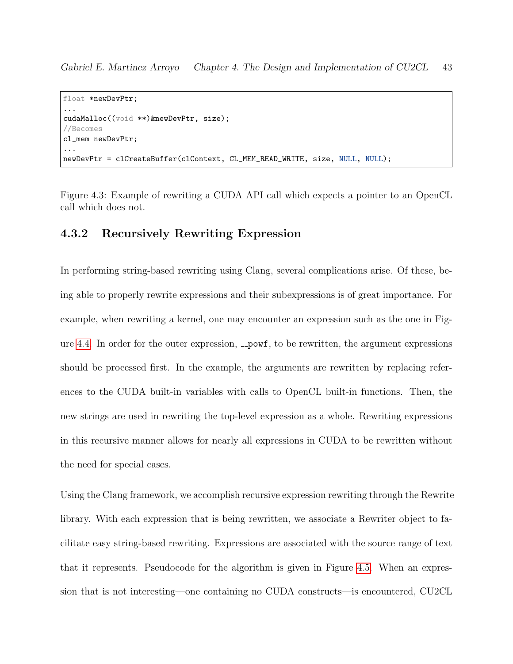```
float *newDevPtr;
...
cudaMalloc((void **)&newDevPtr, size);
//Becomes
cl_mem newDevPtr;
...
newDevPtr = clCreateBuffer(clContext, CL_MEM_READ_WRITE, size, NULL, NULL);
```
<span id="page-49-0"></span>Figure 4.3: Example of rewriting a CUDA API call which expects a pointer to an OpenCL call which does not.

#### 4.3.2 Recursively Rewriting Expression

In performing string-based rewriting using Clang, several complications arise. Of these, being able to properly rewrite expressions and their subexpressions is of great importance. For example, when rewriting a kernel, one may encounter an expression such as the one in Fig-ure [4.4.](#page-50-0) In order for the outer expression,  $\text{\textendash}$  to be rewritten, the argument expressions should be processed first. In the example, the arguments are rewritten by replacing references to the CUDA built-in variables with calls to OpenCL built-in functions. Then, the new strings are used in rewriting the top-level expression as a whole. Rewriting expressions in this recursive manner allows for nearly all expressions in CUDA to be rewritten without the need for special cases.

Using the Clang framework, we accomplish recursive expression rewriting through the Rewrite library. With each expression that is being rewritten, we associate a Rewriter object to facilitate easy string-based rewriting. Expressions are associated with the source range of text that it represents. Pseudocode for the algorithm is given in Figure [4.5.](#page-51-0) When an expression that is not interesting—one containing no CUDA constructs—is encountered, CU2CL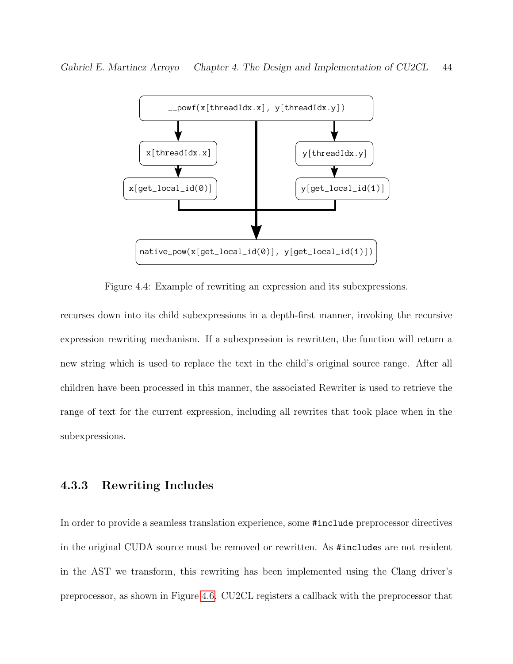

<span id="page-50-0"></span>Figure 4.4: Example of rewriting an expression and its subexpressions.

recurses down into its child subexpressions in a depth-first manner, invoking the recursive expression rewriting mechanism. If a subexpression is rewritten, the function will return a new string which is used to replace the text in the child's original source range. After all children have been processed in this manner, the associated Rewriter is used to retrieve the range of text for the current expression, including all rewrites that took place when in the subexpressions.

#### 4.3.3 Rewriting Includes

In order to provide a seamless translation experience, some #include preprocessor directives in the original CUDA source must be removed or rewritten. As #includes are not resident in the AST we transform, this rewriting has been implemented using the Clang driver's preprocessor, as shown in Figure [4.6.](#page-52-0) CU2CL registers a callback with the preprocessor that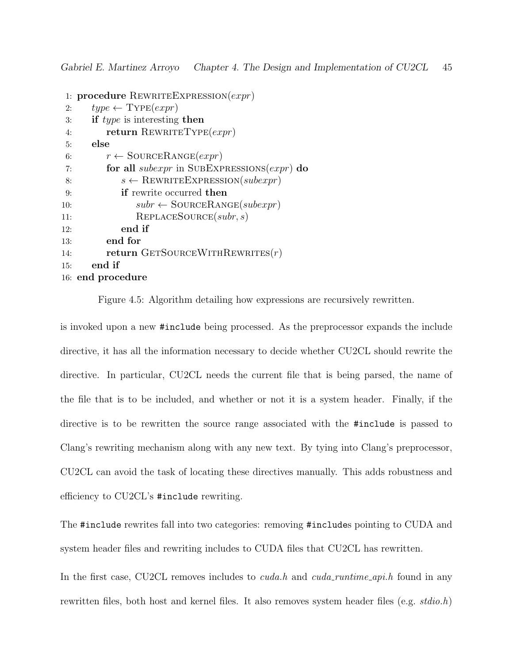```
1: procedure REWRITEEXPRESSION(exp)2: type \leftarrow \text{Type}(expr)3: if type is interesting then
4: return REWRITETYPE(expr)5: else
6: r \leftarrow \text{SOURCERANGE}(expr)7: for all subexpr in SUBEXPRESSIONS(expr) do
8: s \leftarrow \text{REWRITEEXPRESSION}(subexpr)9: if rewrite occurred then
10: subr \leftarrow \text{SOURCERANGE}(subexpr)11: REPLACESOURCE(subr, s)12: end if
13: end for
14: return GETSOURCEWITHREWRITES(r)15: end if
16: end procedure
```
<span id="page-51-0"></span>Figure 4.5: Algorithm detailing how expressions are recursively rewritten.

is invoked upon a new #include being processed. As the preprocessor expands the include directive, it has all the information necessary to decide whether CU2CL should rewrite the directive. In particular, CU2CL needs the current file that is being parsed, the name of the file that is to be included, and whether or not it is a system header. Finally, if the directive is to be rewritten the source range associated with the #include is passed to Clang's rewriting mechanism along with any new text. By tying into Clang's preprocessor, CU2CL can avoid the task of locating these directives manually. This adds robustness and efficiency to CU2CL's #include rewriting.

The #include rewrites fall into two categories: removing #includes pointing to CUDA and system header files and rewriting includes to CUDA files that CU2CL has rewritten.

In the first case, CU2CL removes includes to *cuda.h* and *cuda\_runtime\_api.h* found in any rewritten files, both host and kernel files. It also removes system header files (e.g.  $stdio.h$ )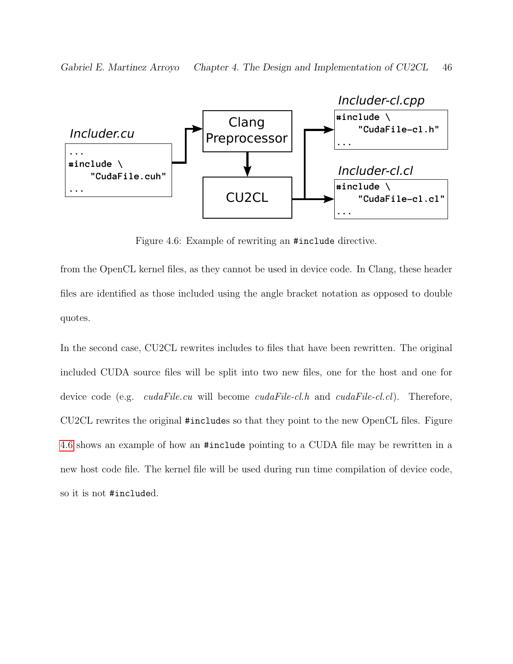

<span id="page-52-0"></span>Figure 4.6: Example of rewriting an #include directive.

from the OpenCL kernel files, as they cannot be used in device code. In Clang, these header files are identified as those included using the angle bracket notation as opposed to double quotes.

In the second case, CU2CL rewrites includes to files that have been rewritten. The original included CUDA source files will be split into two new files, one for the host and one for device code (e.g. *cudaFile.cu* will become *cudaFile-cl.h* and *cudaFile-cl.cl*). Therefore, CU2CL rewrites the original #includes so that they point to the new OpenCL files. Figure [4.6](#page-52-0) shows an example of how an #include pointing to a CUDA file may be rewritten in a new host code file. The kernel file will be used during run time compilation of device code, so it is not #included.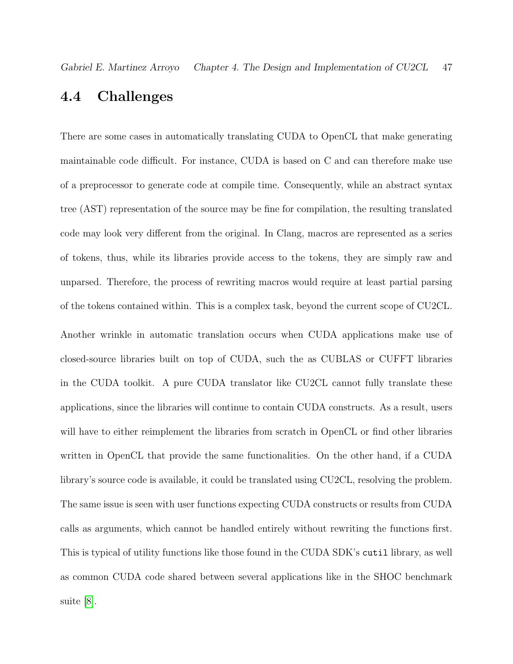### 4.4 Challenges

There are some cases in automatically translating CUDA to OpenCL that make generating maintainable code difficult. For instance, CUDA is based on C and can therefore make use of a preprocessor to generate code at compile time. Consequently, while an abstract syntax tree (AST) representation of the source may be fine for compilation, the resulting translated code may look very different from the original. In Clang, macros are represented as a series of tokens, thus, while its libraries provide access to the tokens, they are simply raw and unparsed. Therefore, the process of rewriting macros would require at least partial parsing of the tokens contained within. This is a complex task, beyond the current scope of CU2CL. Another wrinkle in automatic translation occurs when CUDA applications make use of closed-source libraries built on top of CUDA, such the as CUBLAS or CUFFT libraries in the CUDA toolkit. A pure CUDA translator like CU2CL cannot fully translate these applications, since the libraries will continue to contain CUDA constructs. As a result, users will have to either reimplement the libraries from scratch in OpenCL or find other libraries written in OpenCL that provide the same functionalities. On the other hand, if a CUDA library's source code is available, it could be translated using CU2CL, resolving the problem. The same issue is seen with user functions expecting CUDA constructs or results from CUDA calls as arguments, which cannot be handled entirely without rewriting the functions first. This is typical of utility functions like those found in the CUDA SDK's cutil library, as well as common CUDA code shared between several applications like in the SHOC benchmark suite [\[8\]](#page-69-0).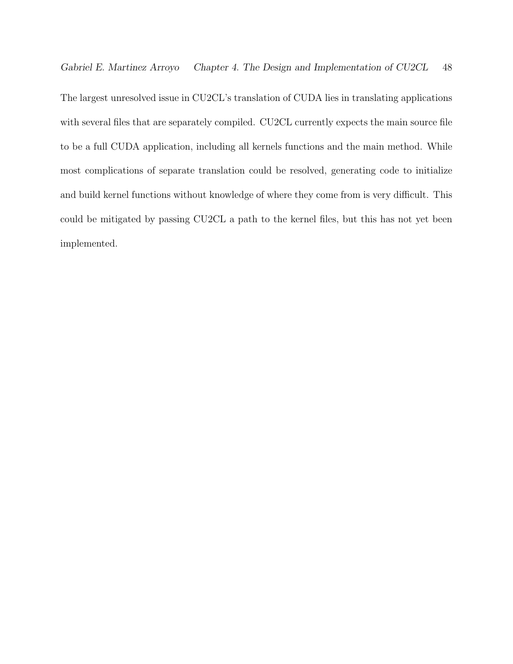The largest unresolved issue in CU2CL's translation of CUDA lies in translating applications with several files that are separately compiled. CU2CL currently expects the main source file to be a full CUDA application, including all kernels functions and the main method. While most complications of separate translation could be resolved, generating code to initialize and build kernel functions without knowledge of where they come from is very difficult. This could be mitigated by passing CU2CL a path to the kernel files, but this has not yet been implemented.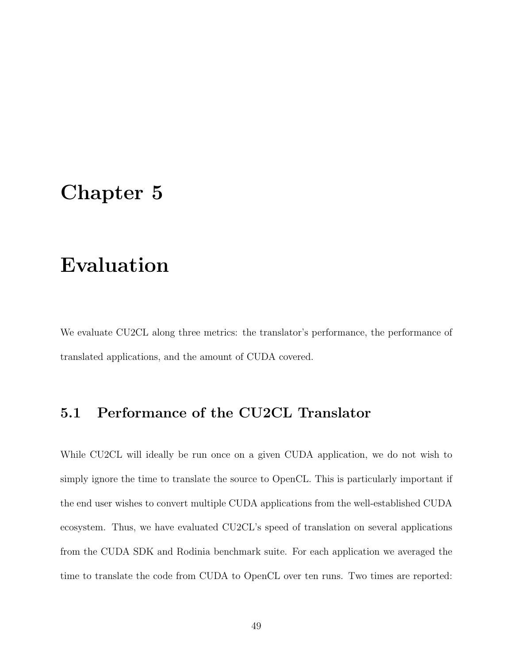# <span id="page-55-0"></span>Chapter 5

# Evaluation

We evaluate CU2CL along three metrics: the translator's performance, the performance of translated applications, and the amount of CUDA covered.

# 5.1 Performance of the CU2CL Translator

While CU2CL will ideally be run once on a given CUDA application, we do not wish to simply ignore the time to translate the source to OpenCL. This is particularly important if the end user wishes to convert multiple CUDA applications from the well-established CUDA ecosystem. Thus, we have evaluated CU2CL's speed of translation on several applications from the CUDA SDK and Rodinia benchmark suite. For each application we averaged the time to translate the code from CUDA to OpenCL over ten runs. Two times are reported: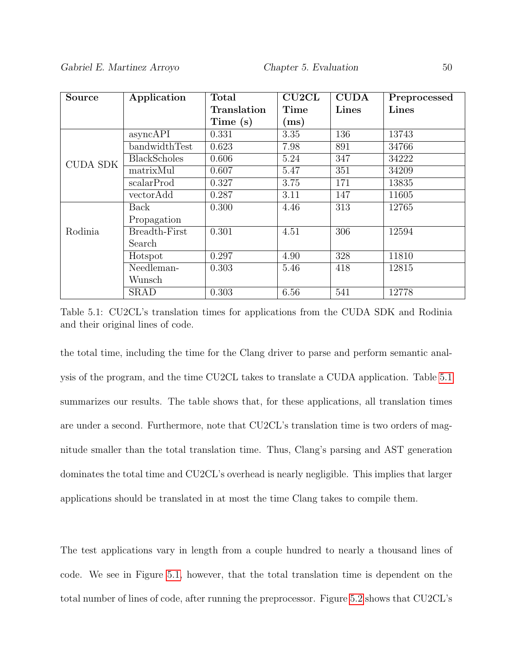| <b>Source</b>   | Application         | <b>Total</b> | CU2CL       | <b>CUDA</b> | Preprocessed |
|-----------------|---------------------|--------------|-------------|-------------|--------------|
|                 |                     | Translation  | <b>Time</b> | Lines       | Lines        |
|                 |                     | Time (s)     | (ms)        |             |              |
|                 | asyncAPI            | 0.331        | 3.35        | 136         | 13743        |
|                 | bandwidthTest       | 0.623        | 7.98        | 891         | 34766        |
| <b>CUDA SDK</b> | <b>BlackScholes</b> | 0.606        | 5.24        | 347         | 34222        |
|                 | $\text{matrixMul}$  | 0.607        | 5.47        | 351         | 34209        |
|                 | scalarProd          | 0.327        | 3.75        | 171         | 13835        |
|                 | vectorAdd           | 0.287        | 3.11        | 147         | 11605        |
|                 | Back                | 0.300        | 4.46        | 313         | 12765        |
|                 | Propagation         |              |             |             |              |
| Rodinia         | Breadth-First       | 0.301        | 4.51        | 306         | 12594        |
|                 | Search              |              |             |             |              |
|                 | Hotspot             | 0.297        | 4.90        | 328         | 11810        |
|                 | Needleman-          | 0.303        | 5.46        | 418         | 12815        |
|                 | Wunsch              |              |             |             |              |
|                 | <b>SRAD</b>         | 0.303        | 6.56        | 541         | 12778        |

<span id="page-56-0"></span>Table 5.1: CU2CL's translation times for applications from the CUDA SDK and Rodinia and their original lines of code.

the total time, including the time for the Clang driver to parse and perform semantic analysis of the program, and the time CU2CL takes to translate a CUDA application. Table [5.1](#page-56-0) summarizes our results. The table shows that, for these applications, all translation times are under a second. Furthermore, note that CU2CL's translation time is two orders of magnitude smaller than the total translation time. Thus, Clang's parsing and AST generation dominates the total time and CU2CL's overhead is nearly negligible. This implies that larger applications should be translated in at most the time Clang takes to compile them.

The test applications vary in length from a couple hundred to nearly a thousand lines of code. We see in Figure [5.1,](#page-57-0) however, that the total translation time is dependent on the total number of lines of code, after running the preprocessor. Figure [5.2](#page-58-0) shows that CU2CL's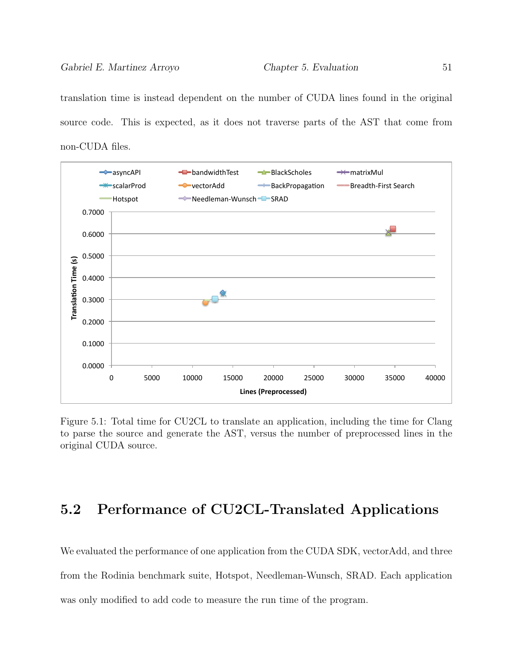translation time is instead dependent on the number of CUDA lines found in the original source code. This is expected, as it does not traverse parts of the AST that come from non-CUDA files.



<span id="page-57-0"></span>Figure 5.1: Total time for CU2CL to translate an application, including the time for Clang to parse the source and generate the AST, versus the number of preprocessed lines in the original CUDA source.

# 5.2 Performance of CU2CL-Translated Applications

We evaluated the performance of one application from the CUDA SDK, vectorAdd, and three from the Rodinia benchmark suite, Hotspot, Needleman-Wunsch, SRAD. Each application was only modified to add code to measure the run time of the program.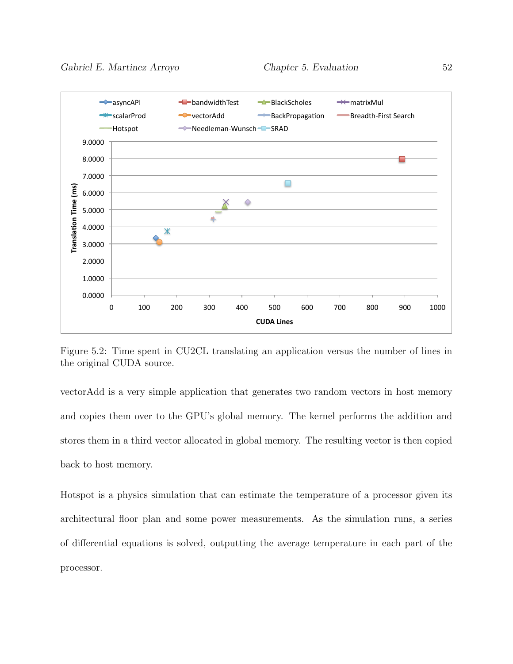

<span id="page-58-0"></span>Figure 5.2: Time spent in CU2CL translating an application versus the number of lines in the original CUDA source.

vectorAdd is a very simple application that generates two random vectors in host memory and copies them over to the GPU's global memory. The kernel performs the addition and stores them in a third vector allocated in global memory. The resulting vector is then copied back to host memory.

Hotspot is a physics simulation that can estimate the temperature of a processor given its architectural floor plan and some power measurements. As the simulation runs, a series of differential equations is solved, outputting the average temperature in each part of the processor.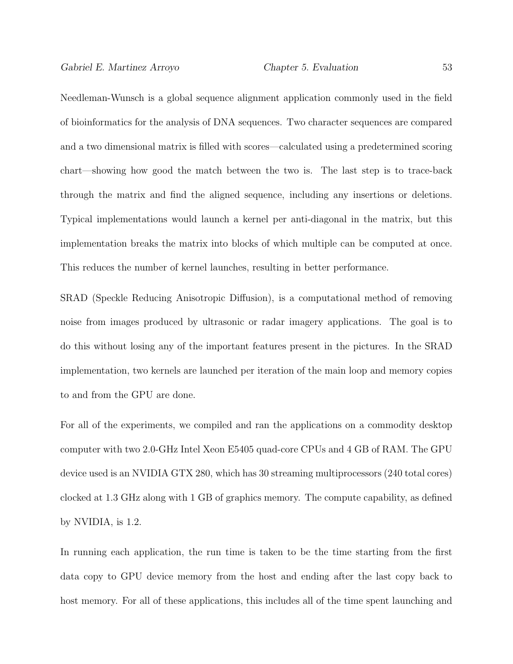Needleman-Wunsch is a global sequence alignment application commonly used in the field of bioinformatics for the analysis of DNA sequences. Two character sequences are compared and a two dimensional matrix is filled with scores—calculated using a predetermined scoring chart—showing how good the match between the two is. The last step is to trace-back through the matrix and find the aligned sequence, including any insertions or deletions. Typical implementations would launch a kernel per anti-diagonal in the matrix, but this implementation breaks the matrix into blocks of which multiple can be computed at once. This reduces the number of kernel launches, resulting in better performance.

SRAD (Speckle Reducing Anisotropic Diffusion), is a computational method of removing noise from images produced by ultrasonic or radar imagery applications. The goal is to do this without losing any of the important features present in the pictures. In the SRAD implementation, two kernels are launched per iteration of the main loop and memory copies to and from the GPU are done.

For all of the experiments, we compiled and ran the applications on a commodity desktop computer with two 2.0-GHz Intel Xeon E5405 quad-core CPUs and 4 GB of RAM. The GPU device used is an NVIDIA GTX 280, which has 30 streaming multiprocessors (240 total cores) clocked at 1.3 GHz along with 1 GB of graphics memory. The compute capability, as defined by NVIDIA, is 1.2.

In running each application, the run time is taken to be the time starting from the first data copy to GPU device memory from the host and ending after the last copy back to host memory. For all of these applications, this includes all of the time spent launching and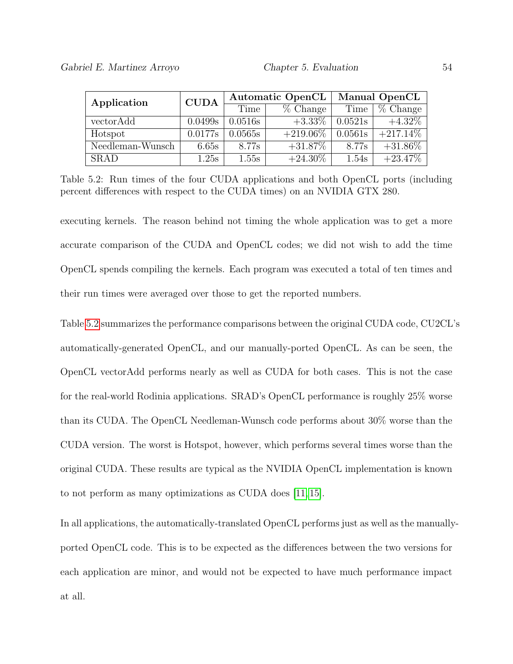| Application      | <b>CUDA</b> |         | <b>Automatic OpenCL</b> | <b>Manual OpenCL</b> |                        |  |
|------------------|-------------|---------|-------------------------|----------------------|------------------------|--|
|                  |             | Time    | $%$ Change              | Time                 | $\overline{\%}$ Change |  |
| vectorAdd        | 0.0499s     | 0.0516s | $+3.33\%$               | 0.0521s              | $+4.32\%$              |  |
| Hotspot          | 0.0177s     | 0.0565s | $+219.06\%$             | 0.0561s              | $+217.14\%$            |  |
| Needleman-Wunsch | 6.65s       | 8.77s   | $+31.87\%$              | 8.77s                | $+31.86\%$             |  |
| <b>SRAD</b>      | 1.25s       | 1.55s   | $+24.30\%$              | 1.54s                | $+23.47\%$             |  |

<span id="page-60-0"></span>Table 5.2: Run times of the four CUDA applications and both OpenCL ports (including percent differences with respect to the CUDA times) on an NVIDIA GTX 280.

executing kernels. The reason behind not timing the whole application was to get a more accurate comparison of the CUDA and OpenCL codes; we did not wish to add the time OpenCL spends compiling the kernels. Each program was executed a total of ten times and their run times were averaged over those to get the reported numbers.

Table [5.2](#page-60-0) summarizes the performance comparisons between the original CUDA code, CU2CL's automatically-generated OpenCL, and our manually-ported OpenCL. As can be seen, the OpenCL vectorAdd performs nearly as well as CUDA for both cases. This is not the case for the real-world Rodinia applications. SRAD's OpenCL performance is roughly 25% worse than its CUDA. The OpenCL Needleman-Wunsch code performs about 30% worse than the CUDA version. The worst is Hotspot, however, which performs several times worse than the original CUDA. These results are typical as the NVIDIA OpenCL implementation is known to not perform as many optimizations as CUDA does [\[11,](#page-69-1) [15\]](#page-70-0).

In all applications, the automatically-translated OpenCL performs just as well as the manuallyported OpenCL code. This is to be expected as the differences between the two versions for each application are minor, and would not be expected to have much performance impact at all.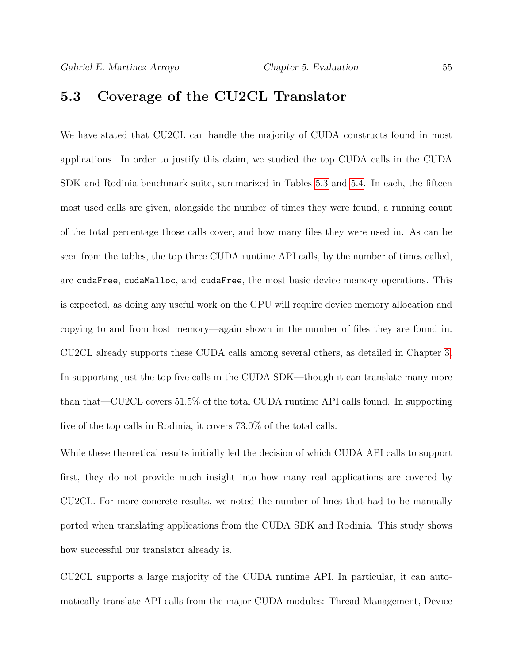### 5.3 Coverage of the CU2CL Translator

We have stated that CU2CL can handle the majority of CUDA constructs found in most applications. In order to justify this claim, we studied the top CUDA calls in the CUDA SDK and Rodinia benchmark suite, summarized in Tables [5.3](#page-62-0) and [5.4.](#page-62-1) In each, the fifteen most used calls are given, alongside the number of times they were found, a running count of the total percentage those calls cover, and how many files they were used in. As can be seen from the tables, the top three CUDA runtime API calls, by the number of times called, are cudaFree, cudaMalloc, and cudaFree, the most basic device memory operations. This is expected, as doing any useful work on the GPU will require device memory allocation and copying to and from host memory—again shown in the number of files they are found in. CU2CL already supports these CUDA calls among several others, as detailed in Chapter [3.](#page-25-0) In supporting just the top five calls in the CUDA SDK—though it can translate many more than that—CU2CL covers 51.5% of the total CUDA runtime API calls found. In supporting five of the top calls in Rodinia, it covers 73.0% of the total calls.

While these theoretical results initially led the decision of which CUDA API calls to support first, they do not provide much insight into how many real applications are covered by CU2CL. For more concrete results, we noted the number of lines that had to be manually ported when translating applications from the CUDA SDK and Rodinia. This study shows how successful our translator already is.

CU2CL supports a large majority of the CUDA runtime API. In particular, it can automatically translate API calls from the major CUDA modules: Thread Management, Device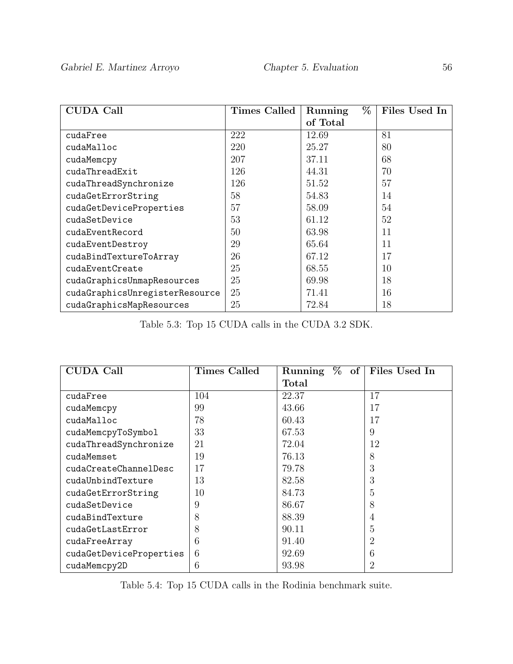| <b>CUDA Call</b>               | <b>Times Called</b> | %<br>Running | Files Used In |
|--------------------------------|---------------------|--------------|---------------|
|                                |                     | of Total     |               |
| cudaFree                       | 222                 | 12.69        | 81            |
| cudaMalloc                     | 220                 | 25.27        | 80            |
| cudaMemcpy                     | 207                 | 37.11        | 68            |
| cudaThreadExit                 | 126                 | 44.31        | 70            |
| cudaThreadSynchronize          | 126                 | 51.52        | 57            |
| cudaGetErrorString             | 58                  | 54.83        | 14            |
| cudaGetDeviceProperties        | 57                  | 58.09        | 54            |
| cudaSetDevice                  | 53                  | 61.12        | 52            |
| cudaEventRecord                | 50                  | 63.98        | 11            |
| cudaEventDestroy               | 29                  | 65.64        | 11            |
| cudaBindTextureToArray         | 26                  | 67.12        | 17            |
| cudaEventCreate                | 25                  | 68.55        | 10            |
| cudaGraphicsUnmapResources     | 25                  | 69.98        | 18            |
| cudaGraphicsUnregisterResource | 25                  | 71.41        | 16            |
| cudaGraphicsMapResources       | 25                  | 72.84        | 18            |

<span id="page-62-0"></span>Table 5.3: Top 15 CUDA calls in the CUDA 3.2 SDK.

| <b>CUDA Call</b>        | Times Called | %<br>Running<br>$\overline{\textbf{of}}$ | Files Used In  |
|-------------------------|--------------|------------------------------------------|----------------|
|                         |              | Total                                    |                |
| cudaFree                | 104          | 22.37                                    | 17             |
| cudaMemcpy              | 99           | 43.66                                    | 17             |
| cudaMalloc              | 78           | 60.43                                    | 17             |
| cudaMemcpyToSymbol      | 33           | 67.53                                    | 9              |
| cudaThreadSynchronize   | 21           | 72.04                                    | 12             |
| cudaMemset              | 19           | 76.13                                    | 8              |
| cudaCreateChannelDesc   | 17           | 79.78                                    | 3              |
| cudaUnbindTexture       | 13           | 82.58                                    | 3              |
| cudaGetErrorString      | 10           | 84.73                                    | 5              |
| cudaSetDevice           | 9            | 86.67                                    | 8              |
| cudaBindTexture         | 8            | 88.39                                    | 4              |
| cudaGetLastError        | 8            | 90.11                                    | 5              |
| cudaFreeArray           | 6            | 91.40                                    | 2              |
| cudaGetDeviceProperties | 6            | 92.69                                    | 6              |
| cudaMemcpy2D            | 6            | 93.98                                    | $\overline{2}$ |

<span id="page-62-1"></span>Table 5.4: Top 15 CUDA calls in the Rodinia benchmark suite.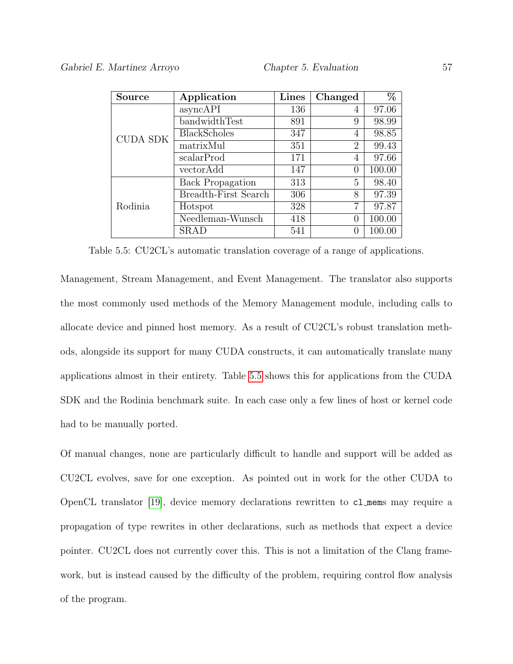| Source          | Application             | <b>Lines</b> | Changed          | $\overline{\%}$ |
|-----------------|-------------------------|--------------|------------------|-----------------|
| <b>CUDA SDK</b> | asyncAPI                | 136          | 4                | 97.06           |
|                 | bandwidthTest           | 891          | 9                | 98.99           |
|                 | <b>BlackScholes</b>     | 347          | 4                | 98.85           |
|                 | matrixMul               | 351          | $\overline{2}$   | 99.43           |
|                 | scalarProd              | 171          | 4                | 97.66           |
|                 | vectorAdd               | 147          | $\left( \right)$ | 100.00          |
| Rodinia         | <b>Back Propagation</b> | 313          | 5                | 98.40           |
|                 | Breadth-First Search    | 306          | 8                | 97.39           |
|                 | Hotspot                 | 328          | 7                | 97.87           |
|                 | Needleman-Wunsch        | 418          | $^{(1)}$         | 100.00          |
|                 | SRAD                    | 541          |                  | 100.00          |

<span id="page-63-0"></span>Table 5.5: CU2CL's automatic translation coverage of a range of applications.

Management, Stream Management, and Event Management. The translator also supports the most commonly used methods of the Memory Management module, including calls to allocate device and pinned host memory. As a result of CU2CL's robust translation methods, alongside its support for many CUDA constructs, it can automatically translate many applications almost in their entirety. Table [5.5](#page-63-0) shows this for applications from the CUDA SDK and the Rodinia benchmark suite. In each case only a few lines of host or kernel code had to be manually ported.

Of manual changes, none are particularly difficult to handle and support will be added as CU2CL evolves, save for one exception. As pointed out in work for the other CUDA to OpenCL translator [\[19\]](#page-70-1), device memory declarations rewritten to cl mems may require a propagation of type rewrites in other declarations, such as methods that expect a device pointer. CU2CL does not currently cover this. This is not a limitation of the Clang framework, but is instead caused by the difficulty of the problem, requiring control flow analysis of the program.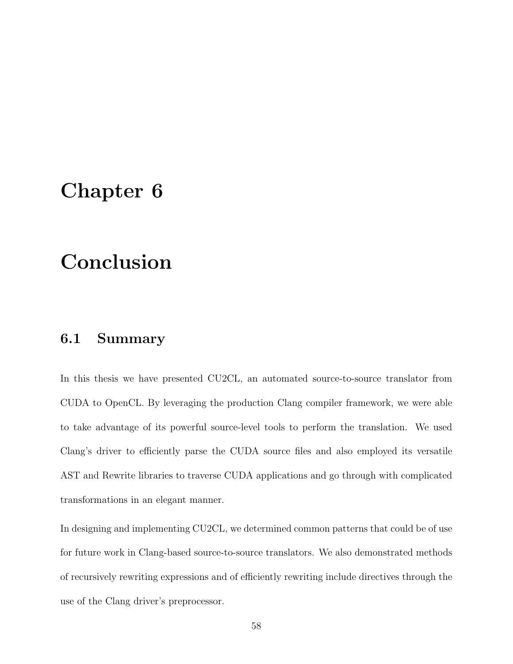# Chapter 6

# Conclusion

## 6.1 Summary

In this thesis we have presented CU2CL, an automated source-to-source translator from CUDA to OpenCL. By leveraging the production Clang compiler framework, we were able to take advantage of its powerful source-level tools to perform the translation. We used Clang's driver to efficiently parse the CUDA source files and also employed its versatile AST and Rewrite libraries to traverse CUDA applications and go through with complicated transformations in an elegant manner.

In designing and implementing CU2CL, we determined common patterns that could be of use for future work in Clang-based source-to-source translators. We also demonstrated methods of recursively rewriting expressions and of efficiently rewriting include directives through the use of the Clang driver's preprocessor.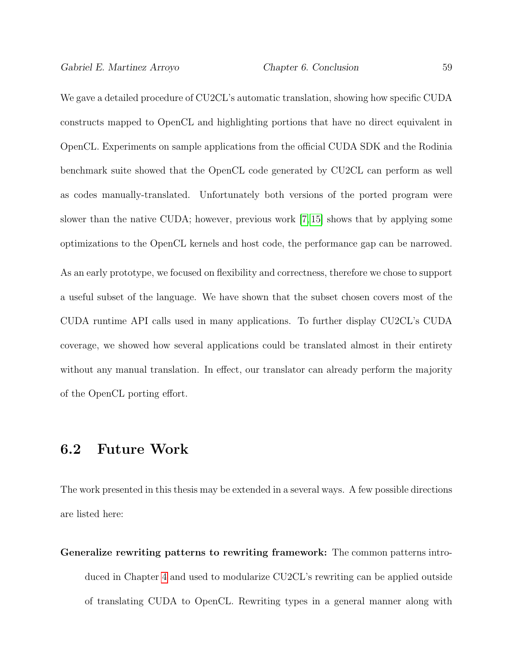We gave a detailed procedure of CU2CL's automatic translation, showing how specific CUDA constructs mapped to OpenCL and highlighting portions that have no direct equivalent in OpenCL. Experiments on sample applications from the official CUDA SDK and the Rodinia benchmark suite showed that the OpenCL code generated by CU2CL can perform as well as codes manually-translated. Unfortunately both versions of the ported program were slower than the native CUDA; however, previous work [\[7,](#page-69-2) [15\]](#page-70-0) shows that by applying some optimizations to the OpenCL kernels and host code, the performance gap can be narrowed. As an early prototype, we focused on flexibility and correctness, therefore we chose to support a useful subset of the language. We have shown that the subset chosen covers most of the CUDA runtime API calls used in many applications. To further display CU2CL's CUDA coverage, we showed how several applications could be translated almost in their entirety without any manual translation. In effect, our translator can already perform the majority of the OpenCL porting effort.

### 6.2 Future Work

The work presented in this thesis may be extended in a several ways. A few possible directions are listed here:

Generalize rewriting patterns to rewriting framework: The common patterns introduced in Chapter [4](#page-42-0) and used to modularize CU2CL's rewriting can be applied outside of translating CUDA to OpenCL. Rewriting types in a general manner along with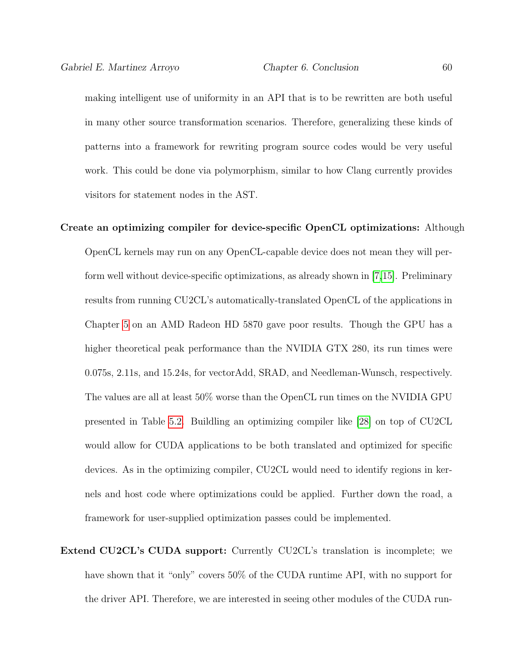making intelligent use of uniformity in an API that is to be rewritten are both useful in many other source transformation scenarios. Therefore, generalizing these kinds of patterns into a framework for rewriting program source codes would be very useful work. This could be done via polymorphism, similar to how Clang currently provides visitors for statement nodes in the AST.

- Create an optimizing compiler for device-specific OpenCL optimizations: Although OpenCL kernels may run on any OpenCL-capable device does not mean they will perform well without device-specific optimizations, as already shown in [\[7,](#page-69-2)[15\]](#page-70-0). Preliminary results from running CU2CL's automatically-translated OpenCL of the applications in Chapter [5](#page-55-0) on an AMD Radeon HD 5870 gave poor results. Though the GPU has a higher theoretical peak performance than the NVIDIA GTX 280, its run times were 0.075s, 2.11s, and 15.24s, for vectorAdd, SRAD, and Needleman-Wunsch, respectively. The values are all at least 50% worse than the OpenCL run times on the NVIDIA GPU presented in Table [5.2.](#page-60-0) Buildling an optimizing compiler like [\[28\]](#page-72-0) on top of CU2CL would allow for CUDA applications to be both translated and optimized for specific devices. As in the optimizing compiler, CU2CL would need to identify regions in kernels and host code where optimizations could be applied. Further down the road, a framework for user-supplied optimization passes could be implemented.
- Extend CU2CL's CUDA support: Currently CU2CL's translation is incomplete; we have shown that it "only" covers 50% of the CUDA runtime API, with no support for the driver API. Therefore, we are interested in seeing other modules of the CUDA run-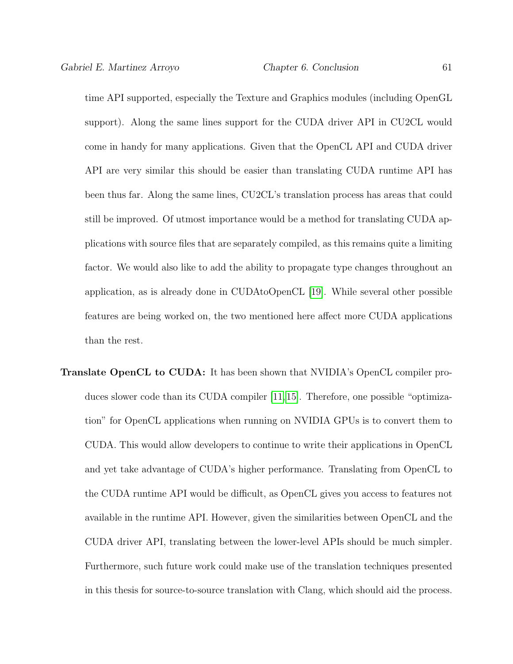time API supported, especially the Texture and Graphics modules (including OpenGL support). Along the same lines support for the CUDA driver API in CU2CL would come in handy for many applications. Given that the OpenCL API and CUDA driver API are very similar this should be easier than translating CUDA runtime API has been thus far. Along the same lines, CU2CL's translation process has areas that could still be improved. Of utmost importance would be a method for translating CUDA applications with source files that are separately compiled, as this remains quite a limiting factor. We would also like to add the ability to propagate type changes throughout an application, as is already done in CUDAtoOpenCL [\[19\]](#page-70-1). While several other possible features are being worked on, the two mentioned here affect more CUDA applications than the rest.

Translate OpenCL to CUDA: It has been shown that NVIDIA's OpenCL compiler produces slower code than its CUDA compiler [\[11,](#page-69-1)[15\]](#page-70-0). Therefore, one possible "optimization" for OpenCL applications when running on NVIDIA GPUs is to convert them to CUDA. This would allow developers to continue to write their applications in OpenCL and yet take advantage of CUDA's higher performance. Translating from OpenCL to the CUDA runtime API would be difficult, as OpenCL gives you access to features not available in the runtime API. However, given the similarities between OpenCL and the CUDA driver API, translating between the lower-level APIs should be much simpler. Furthermore, such future work could make use of the translation techniques presented in this thesis for source-to-source translation with Clang, which should aid the process.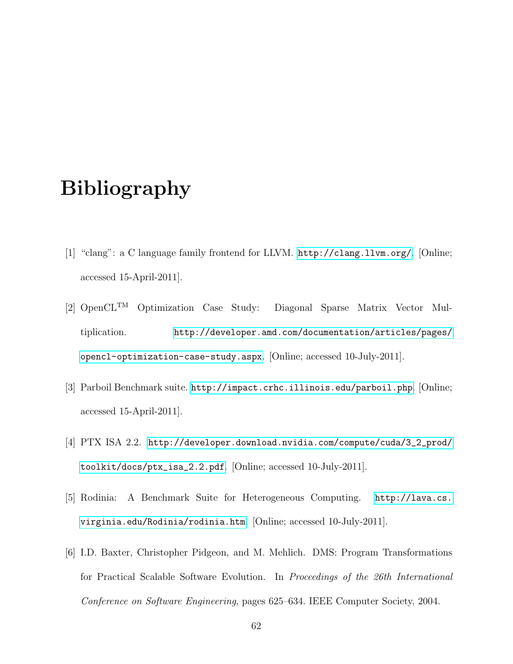# Bibliography

- <span id="page-68-1"></span>[1] "clang": a C language family frontend for LLVM. <http://clang.llvm.org/>. [Online; accessed 15-April-2011].
- [2] OpenCLTM Optimization Case Study: Diagonal Sparse Matrix Vector Multiplication. [http://developer.amd.com/documentation/articles/pages/](http://developer.amd.com/documentation/articles/pages/opencl-optimization-case-study.aspx) [opencl-optimization-case-study.aspx](http://developer.amd.com/documentation/articles/pages/opencl-optimization-case-study.aspx). [Online; accessed 10-July-2011].
- [3] Parboil Benchmark suite. <http://impact.crhc.illinois.edu/parboil.php>. [Online; accessed 15-April-2011].
- [4] PTX ISA 2.2. [http://developer.download.nvidia.com/compute/cuda/3\\_2\\_prod/](http://developer.download.nvidia.com/compute/cuda/3_2_prod/toolkit/docs/ptx_isa_2.2.pdf) [toolkit/docs/ptx\\_isa\\_2.2.pdf](http://developer.download.nvidia.com/compute/cuda/3_2_prod/toolkit/docs/ptx_isa_2.2.pdf). [Online; accessed 10-July-2011].
- [5] Rodinia: A Benchmark Suite for Heterogeneous Computing. [http://lava.cs.](http://lava.cs.virginia.edu/Rodinia/rodinia.htm) [virginia.edu/Rodinia/rodinia.htm](http://lava.cs.virginia.edu/Rodinia/rodinia.htm). [Online; accessed 10-July-2011].
- <span id="page-68-0"></span>[6] I.D. Baxter, Christopher Pidgeon, and M. Mehlich. DMS: Program Transformations for Practical Scalable Software Evolution. In Proceedings of the 26th International Conference on Software Engineering, pages 625–634. IEEE Computer Society, 2004.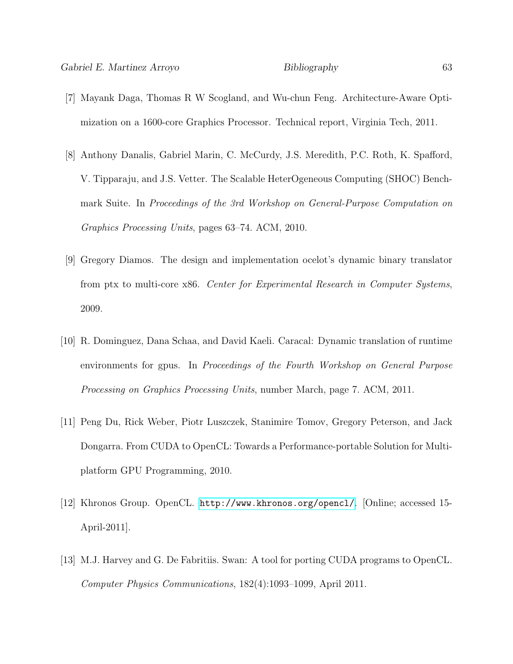- <span id="page-69-2"></span>[7] Mayank Daga, Thomas R W Scogland, and Wu-chun Feng. Architecture-Aware Optimization on a 1600-core Graphics Processor. Technical report, Virginia Tech, 2011.
- <span id="page-69-0"></span>[8] Anthony Danalis, Gabriel Marin, C. McCurdy, J.S. Meredith, P.C. Roth, K. Spafford, V. Tipparaju, and J.S. Vetter. The Scalable HeterOgeneous Computing (SHOC) Benchmark Suite. In Proceedings of the 3rd Workshop on General-Purpose Computation on Graphics Processing Units, pages 63–74. ACM, 2010.
- [9] Gregory Diamos. The design and implementation ocelot's dynamic binary translator from ptx to multi-core x86. Center for Experimental Research in Computer Systems, 2009.
- [10] R. Dominguez, Dana Schaa, and David Kaeli. Caracal: Dynamic translation of runtime environments for gpus. In Proceedings of the Fourth Workshop on General Purpose Processing on Graphics Processing Units, number March, page 7. ACM, 2011.
- <span id="page-69-1"></span>[11] Peng Du, Rick Weber, Piotr Luszczek, Stanimire Tomov, Gregory Peterson, and Jack Dongarra. From CUDA to OpenCL: Towards a Performance-portable Solution for Multiplatform GPU Programming, 2010.
- [12] Khronos Group. OpenCL. <http://www.khronos.org/opencl/>. [Online; accessed 15- April-2011].
- [13] M.J. Harvey and G. De Fabritiis. Swan: A tool for porting CUDA programs to OpenCL. Computer Physics Communications, 182(4):1093–1099, April 2011.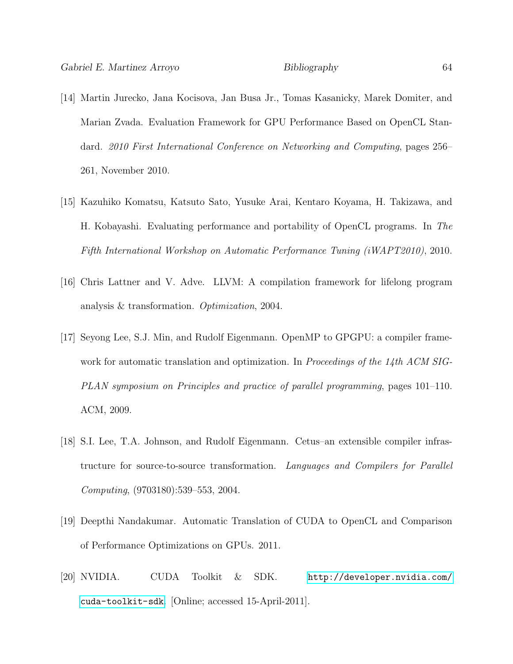- [14] Martin Jurecko, Jana Kocisova, Jan Busa Jr., Tomas Kasanicky, Marek Domiter, and Marian Zvada. Evaluation Framework for GPU Performance Based on OpenCL Standard. 2010 First International Conference on Networking and Computing, pages 256– 261, November 2010.
- <span id="page-70-0"></span>[15] Kazuhiko Komatsu, Katsuto Sato, Yusuke Arai, Kentaro Koyama, H. Takizawa, and H. Kobayashi. Evaluating performance and portability of OpenCL programs. In The Fifth International Workshop on Automatic Performance Tuning (iWAPT2010), 2010.
- [16] Chris Lattner and V. Adve. LLVM: A compilation framework for lifelong program analysis & transformation. Optimization, 2004.
- [17] Seyong Lee, S.J. Min, and Rudolf Eigenmann. OpenMP to GPGPU: a compiler framework for automatic translation and optimization. In Proceedings of the  $14$ th ACM SIG-PLAN symposium on Principles and practice of parallel programming, pages 101–110. ACM, 2009.
- [18] S.I. Lee, T.A. Johnson, and Rudolf Eigenmann. Cetus–an extensible compiler infrastructure for source-to-source transformation. Languages and Compilers for Parallel Computing, (9703180):539–553, 2004.
- <span id="page-70-1"></span>[19] Deepthi Nandakumar. Automatic Translation of CUDA to OpenCL and Comparison of Performance Optimizations on GPUs. 2011.
- [20] NVIDIA. CUDA Toolkit & SDK. [http://developer.nvidia.com/](http://developer.nvidia.com/cuda-toolkit-sdk) [cuda-toolkit-sdk](http://developer.nvidia.com/cuda-toolkit-sdk). [Online; accessed 15-April-2011].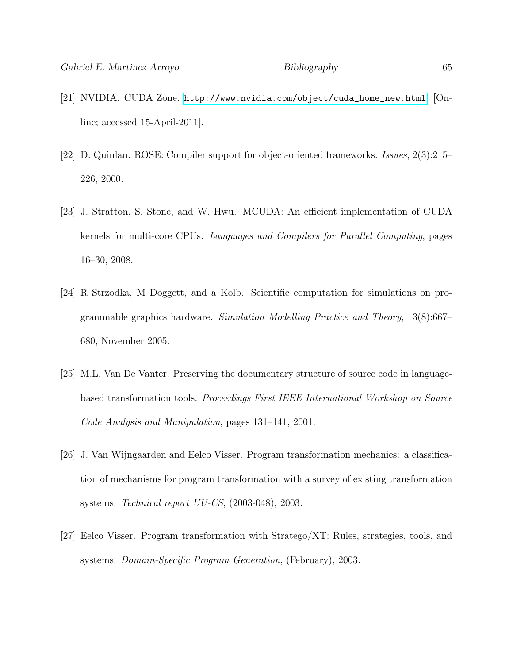- [21] NVIDIA. CUDA Zone. [http://www.nvidia.com/object/cuda\\_home\\_new.html](http://www.nvidia.com/object/cuda_home_new.html). [Online; accessed 15-April-2011].
- <span id="page-71-0"></span>[22] D. Quinlan. ROSE: Compiler support for object-oriented frameworks. Issues, 2(3):215– 226, 2000.
- [23] J. Stratton, S. Stone, and W. Hwu. MCUDA: An efficient implementation of CUDA kernels for multi-core CPUs. Languages and Compilers for Parallel Computing, pages 16–30, 2008.
- [24] R Strzodka, M Doggett, and a Kolb. Scientific computation for simulations on programmable graphics hardware. Simulation Modelling Practice and Theory, 13(8):667– 680, November 2005.
- <span id="page-71-3"></span>[25] M.L. Van De Vanter. Preserving the documentary structure of source code in languagebased transformation tools. Proceedings First IEEE International Workshop on Source Code Analysis and Manipulation, pages 131–141, 2001.
- <span id="page-71-2"></span>[26] J. Van Wijngaarden and Eelco Visser. Program transformation mechanics: a classification of mechanisms for program transformation with a survey of existing transformation systems. Technical report UU-CS, (2003-048), 2003.
- <span id="page-71-1"></span>[27] Eelco Visser. Program transformation with Stratego/XT: Rules, strategies, tools, and systems. Domain-Specific Program Generation, (February), 2003.